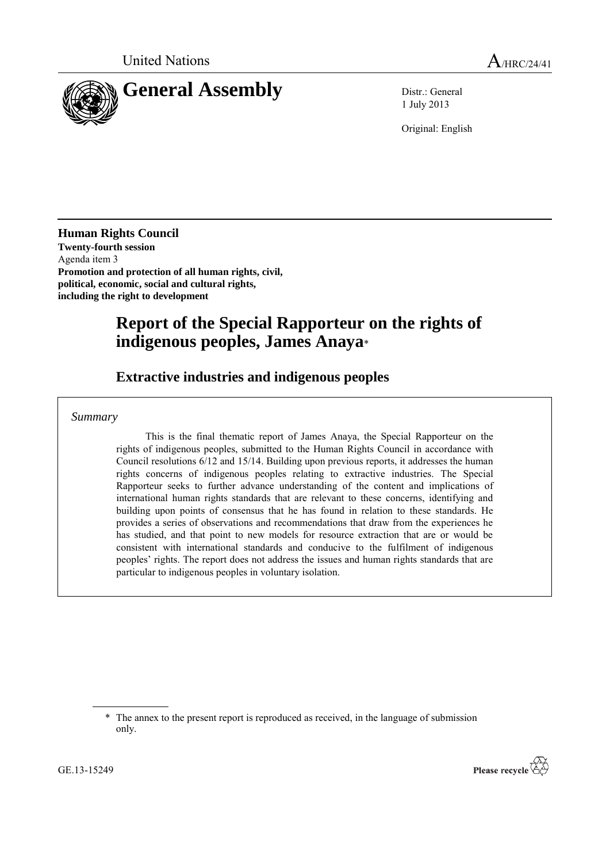

1 July 2013

Original: English

**Human Rights Council Twenty-fourth session** Agenda item 3 **Promotion and protection of all human rights, civil, political, economic, social and cultural rights, including the right to development**

# **Report of the Special Rapporteur on the rights of indigenous peoples, James Anaya**\*

# **Extractive industries and indigenous peoples**

*Summary*

This is the final thematic report of James Anaya, the Special Rapporteur on the rights of indigenous peoples, submitted to the Human Rights Council in accordance with Council resolutions 6/12 and 15/14. Building upon previous reports, it addresses the human rights concerns of indigenous peoples relating to extractive industries. The Special Rapporteur seeks to further advance understanding of the content and implications of international human rights standards that are relevant to these concerns, identifying and building upon points of consensus that he has found in relation to these standards. He provides a series of observations and recommendations that draw from the experiences he has studied, and that point to new models for resource extraction that are or would be consistent with international standards and conducive to the fulfilment of indigenous peoples' rights. The report does not address the issues and human rights standards that are particular to indigenous peoples in voluntary isolation.

<sup>\*</sup> The annex to the present report is reproduced as received, in the language of submission only.



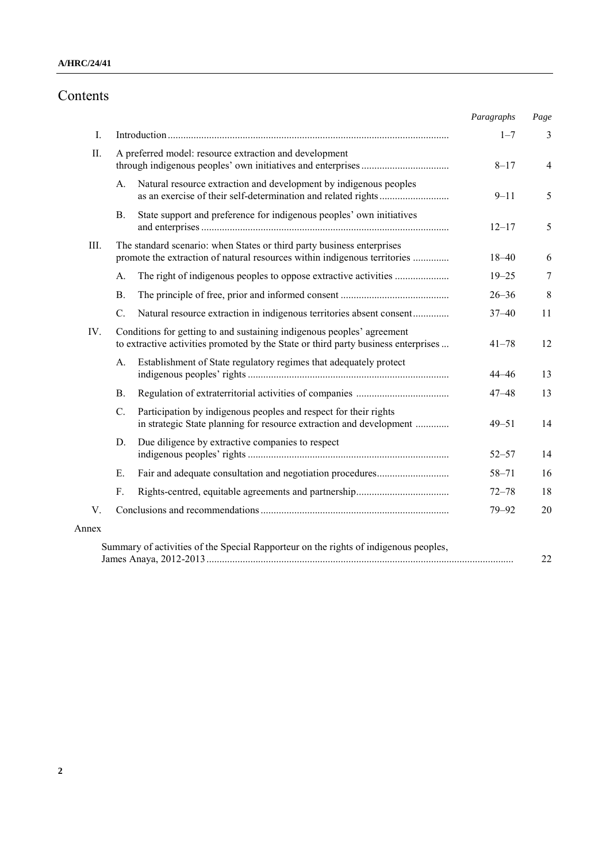# Contents

|       |                                                                                                                                                              | Paragraphs | Page           |
|-------|--------------------------------------------------------------------------------------------------------------------------------------------------------------|------------|----------------|
| I.    |                                                                                                                                                              | $1 - 7$    | 3              |
| II.   | A preferred model: resource extraction and development                                                                                                       | $8 - 17$   | $\overline{4}$ |
|       | Natural resource extraction and development by indigenous peoples<br>А.                                                                                      | $9 - 11$   | 5              |
|       | State support and preference for indigenous peoples' own initiatives<br><b>B.</b>                                                                            | $12 - 17$  | 5              |
| III.  | The standard scenario: when States or third party business enterprises<br>promote the extraction of natural resources within indigenous territories          | $18 - 40$  | 6              |
|       | A.                                                                                                                                                           | $19 - 25$  | 7              |
|       | Β.                                                                                                                                                           | $26 - 36$  | $8\,$          |
|       | Natural resource extraction in indigenous territories absent consent<br>C.                                                                                   | $37 - 40$  | 11             |
| IV.   | Conditions for getting to and sustaining indigenous peoples' agreement<br>to extractive activities promoted by the State or third party business enterprises | $41 - 78$  | 12             |
|       | Establishment of State regulatory regimes that adequately protect<br>A.                                                                                      | $44 - 46$  | 13             |
|       | <b>B.</b>                                                                                                                                                    | $47 - 48$  | 13             |
|       | Participation by indigenous peoples and respect for their rights<br>C.<br>in strategic State planning for resource extraction and development                | $49 - 51$  | 14             |
|       | Due diligence by extractive companies to respect<br>D.                                                                                                       | $52 - 57$  | 14             |
|       | Е.                                                                                                                                                           | $58 - 71$  | 16             |
|       | F.                                                                                                                                                           | $72 - 78$  | 18             |
| V.    |                                                                                                                                                              | $79 - 92$  | 20             |
| Annex |                                                                                                                                                              |            |                |
|       | Summary of activities of the Special Rapporteur on the rights of indigenous peoples,                                                                         |            | 22             |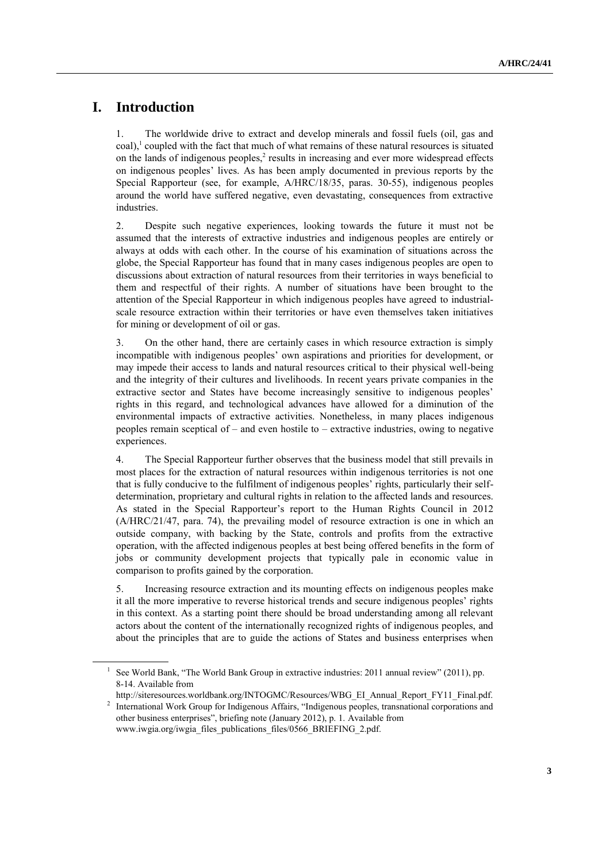# **I. Introduction**

1. The worldwide drive to extract and develop minerals and fossil fuels (oil, gas and coal),<sup>1</sup> coupled with the fact that much of what remains of these natural resources is situated on the lands of indigenous peoples, 2 results in increasing and ever more widespread effects on indigenous peoples' lives. As has been amply documented in previous reports by the Special Rapporteur (see, for example, A/HRC/18/35, paras. 30-55), indigenous peoples around the world have suffered negative, even devastating, consequences from extractive industries.

2. Despite such negative experiences, looking towards the future it must not be assumed that the interests of extractive industries and indigenous peoples are entirely or always at odds with each other. In the course of his examination of situations across the globe, the Special Rapporteur has found that in many cases indigenous peoples are open to discussions about extraction of natural resources from their territories in ways beneficial to them and respectful of their rights. A number of situations have been brought to the attention of the Special Rapporteur in which indigenous peoples have agreed to industrialscale resource extraction within their territories or have even themselves taken initiatives for mining or development of oil or gas.

3. On the other hand, there are certainly cases in which resource extraction is simply incompatible with indigenous peoples' own aspirations and priorities for development, or may impede their access to lands and natural resources critical to their physical well-being and the integrity of their cultures and livelihoods. In recent years private companies in the extractive sector and States have become increasingly sensitive to indigenous peoples' rights in this regard, and technological advances have allowed for a diminution of the environmental impacts of extractive activities. Nonetheless, in many places indigenous peoples remain sceptical of – and even hostile to – extractive industries, owing to negative experiences.

4. The Special Rapporteur further observes that the business model that still prevails in most places for the extraction of natural resources within indigenous territories is not one that is fully conducive to the fulfilment of indigenous peoples' rights, particularly their selfdetermination, proprietary and cultural rights in relation to the affected lands and resources. As stated in the Special Rapporteur's report to the Human Rights Council in 2012 (A/HRC/21/47, para. 74), the prevailing model of resource extraction is one in which an outside company, with backing by the State, controls and profits from the extractive operation, with the affected indigenous peoples at best being offered benefits in the form of jobs or community development projects that typically pale in economic value in comparison to profits gained by the corporation.

5. Increasing resource extraction and its mounting effects on indigenous peoples make it all the more imperative to reverse historical trends and secure indigenous peoples' rights in this context. As a starting point there should be broad understanding among all relevant actors about the content of the internationally recognized rights of indigenous peoples, and about the principles that are to guide the actions of States and business enterprises when

<sup>1</sup> See World Bank, "The World Bank Group in extractive industries: 2011 annual review" (2011), pp. 8-14. Available from

[http://siteresources.worldbank.org/INTOGMC/Resources/WBG\\_EI\\_Annual\\_Report\\_FY11\\_Final.pdf.](http://siteresources.worldbank.org/INTOGMC/Resources/WBG_EI_Annual_Report_FY11_Final.pdf) 2 International Work Group for Indigenous Affairs, "Indigenous peoples, transnational corporations and other business enterprises", briefing note (January 2012), p. 1. Available from www.iwgia.org/iwgia\_files\_publications\_files/0566\_BRIEFING\_2.pdf.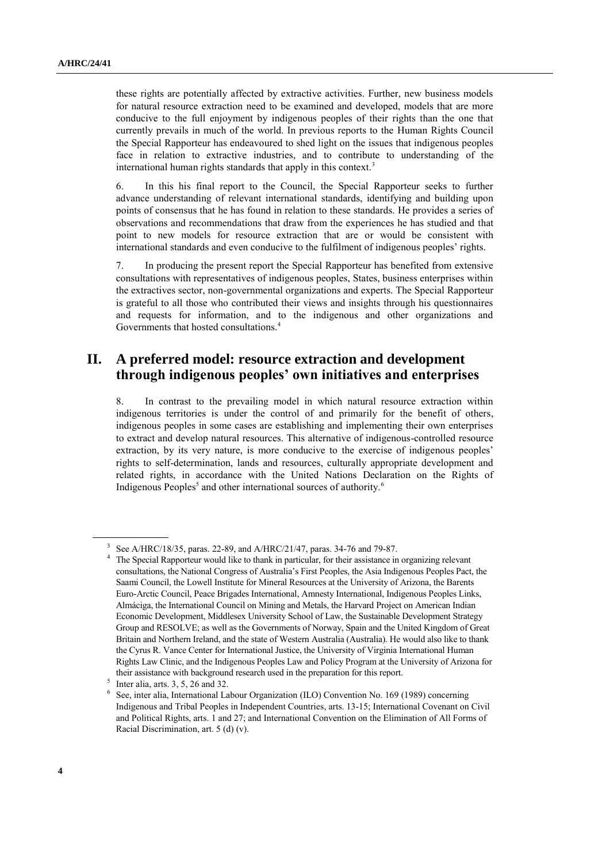these rights are potentially affected by extractive activities. Further, new business models for natural resource extraction need to be examined and developed, models that are more conducive to the full enjoyment by indigenous peoples of their rights than the one that currently prevails in much of the world. In previous reports to the Human Rights Council the Special Rapporteur has endeavoured to shed light on the issues that indigenous peoples face in relation to extractive industries, and to contribute to understanding of the international human rights standards that apply in this context.<sup>3</sup>

6. In this his final report to the Council, the Special Rapporteur seeks to further advance understanding of relevant international standards, identifying and building upon points of consensus that he has found in relation to these standards. He provides a series of observations and recommendations that draw from the experiences he has studied and that point to new models for resource extraction that are or would be consistent with international standards and even conducive to the fulfilment of indigenous peoples' rights.

7. In producing the present report the Special Rapporteur has benefited from extensive consultations with representatives of indigenous peoples, States, business enterprises within the extractives sector, non-governmental organizations and experts. The Special Rapporteur is grateful to all those who contributed their views and insights through his questionnaires and requests for information, and to the indigenous and other organizations and Governments that hosted consultations.<sup>4</sup>

## **II. A preferred model: resource extraction and development through indigenous peoples' own initiatives and enterprises**

8. In contrast to the prevailing model in which natural resource extraction within indigenous territories is under the control of and primarily for the benefit of others, indigenous peoples in some cases are establishing and implementing their own enterprises to extract and develop natural resources. This alternative of indigenous-controlled resource extraction, by its very nature, is more conducive to the exercise of indigenous peoples' rights to self-determination, lands and resources, culturally appropriate development and related rights, in accordance with the United Nations Declaration on the Rights of Indigenous Peoples<sup>5</sup> and other international sources of authority.<sup>6</sup>

<sup>3</sup> See A/HRC/18/35, paras. 22-89, and A/HRC/21/47, paras. 34-76 and 79-87.

<sup>4</sup> The Special Rapporteur would like to thank in particular, for their assistance in organizing relevant consultations, the National Congress of Australia's First Peoples, the Asia Indigenous Peoples Pact, the Saami Council, the Lowell Institute for Mineral Resources at the University of Arizona, the Barents Euro-Arctic Council, Peace Brigades International, Amnesty International, Indigenous Peoples Links, Almáciga, the International Council on Mining and Metals, the Harvard Project on American Indian Economic Development, Middlesex University School of Law, the Sustainable Development Strategy Group and RESOLVE; as well as the Governments of Norway, Spain and the United Kingdom of Great Britain and Northern Ireland, and the state of Western Australia (Australia). He would also like to thank the Cyrus R. Vance Center for International Justice, the University of Virginia International Human Rights Law Clinic, and the Indigenous Peoples Law and Policy Program at the University of Arizona for their assistance with background research used in the preparation for this report.

<sup>5</sup> Inter alia, arts. 3, 5, 26 and 32.

<sup>&</sup>lt;sup>6</sup> See, inter alia, International Labour Organization (ILO) Convention No. 169 (1989) concerning Indigenous and Tribal Peoples in Independent Countries, arts. 13-15; International Covenant on Civil and Political Rights, arts. 1 and 27; and International Convention on the Elimination of All Forms of Racial Discrimination, art. 5 (d) (v).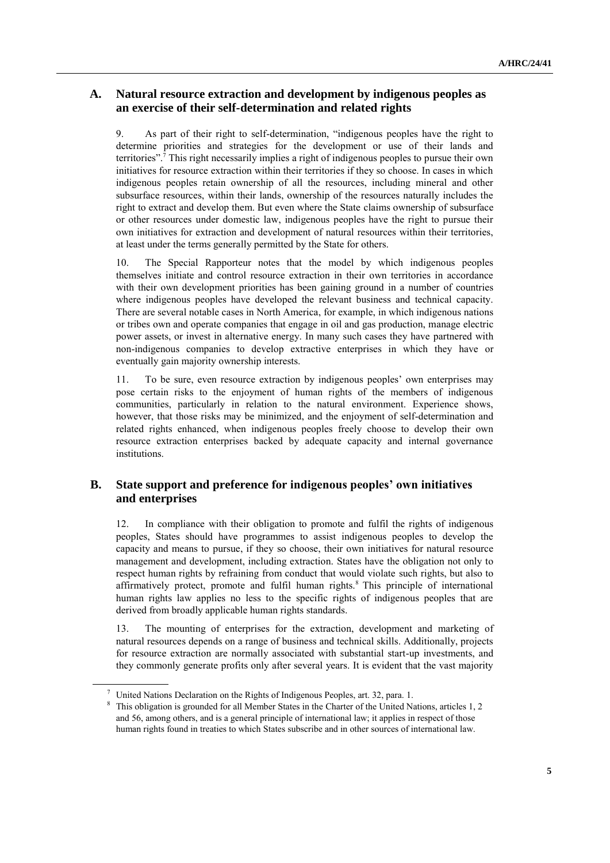## **A. Natural resource extraction and development by indigenous peoples as an exercise of their self-determination and related rights**

9. As part of their right to self-determination, "indigenous peoples have the right to determine priorities and strategies for the development or use of their lands and territories".<sup>7</sup> This right necessarily implies a right of indigenous peoples to pursue their own initiatives for resource extraction within their territories if they so choose. In cases in which indigenous peoples retain ownership of all the resources, including mineral and other subsurface resources, within their lands, ownership of the resources naturally includes the right to extract and develop them. But even where the State claims ownership of subsurface or other resources under domestic law, indigenous peoples have the right to pursue their own initiatives for extraction and development of natural resources within their territories, at least under the terms generally permitted by the State for others.

10. The Special Rapporteur notes that the model by which indigenous peoples themselves initiate and control resource extraction in their own territories in accordance with their own development priorities has been gaining ground in a number of countries where indigenous peoples have developed the relevant business and technical capacity. There are several notable cases in North America, for example, in which indigenous nations or tribes own and operate companies that engage in oil and gas production, manage electric power assets, or invest in alternative energy. In many such cases they have partnered with non-indigenous companies to develop extractive enterprises in which they have or eventually gain majority ownership interests.

11. To be sure, even resource extraction by indigenous peoples' own enterprises may pose certain risks to the enjoyment of human rights of the members of indigenous communities, particularly in relation to the natural environment. Experience shows, however, that those risks may be minimized, and the enjoyment of self-determination and related rights enhanced, when indigenous peoples freely choose to develop their own resource extraction enterprises backed by adequate capacity and internal governance institutions.

## **B. State support and preference for indigenous peoples' own initiatives and enterprises**

12. In compliance with their obligation to promote and fulfil the rights of indigenous peoples, States should have programmes to assist indigenous peoples to develop the capacity and means to pursue, if they so choose, their own initiatives for natural resource management and development, including extraction. States have the obligation not only to respect human rights by refraining from conduct that would violate such rights, but also to affirmatively protect, promote and fulfil human rights.<sup>8</sup> This principle of international human rights law applies no less to the specific rights of indigenous peoples that are derived from broadly applicable human rights standards.

13. The mounting of enterprises for the extraction, development and marketing of natural resources depends on a range of business and technical skills. Additionally, projects for resource extraction are normally associated with substantial start-up investments, and they commonly generate profits only after several years. It is evident that the vast majority

<sup>7</sup> United Nations Declaration on the Rights of Indigenous Peoples, art. 32, para. 1.

This obligation is grounded for all Member States in the Charter of the United Nations, articles 1, 2 and 56, among others, and is a general principle of international law; it applies in respect of those human rights found in treaties to which States subscribe and in other sources of international law.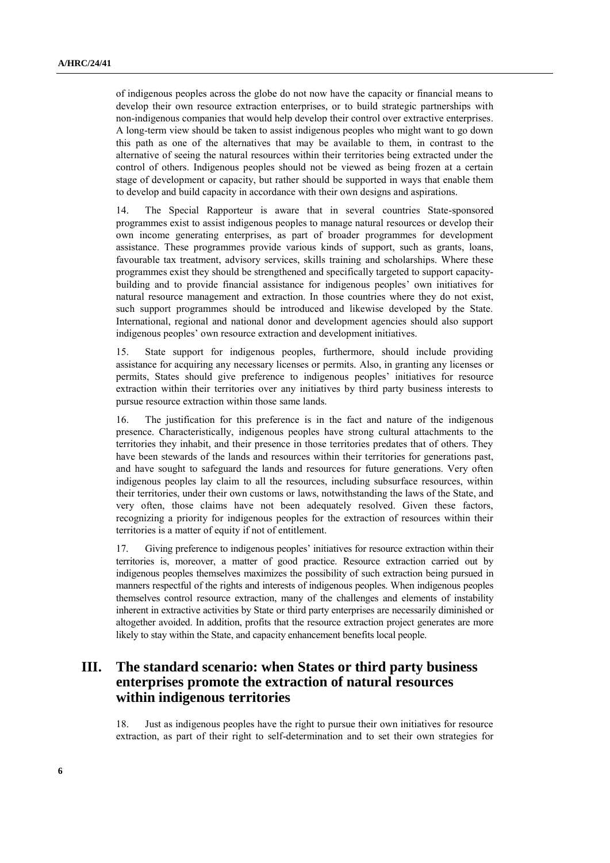of indigenous peoples across the globe do not now have the capacity or financial means to develop their own resource extraction enterprises, or to build strategic partnerships with non-indigenous companies that would help develop their control over extractive enterprises. A long-term view should be taken to assist indigenous peoples who might want to go down this path as one of the alternatives that may be available to them, in contrast to the alternative of seeing the natural resources within their territories being extracted under the control of others. Indigenous peoples should not be viewed as being frozen at a certain stage of development or capacity, but rather should be supported in ways that enable them to develop and build capacity in accordance with their own designs and aspirations.

14. The Special Rapporteur is aware that in several countries State-sponsored programmes exist to assist indigenous peoples to manage natural resources or develop their own income generating enterprises, as part of broader programmes for development assistance. These programmes provide various kinds of support, such as grants, loans, favourable tax treatment, advisory services, skills training and scholarships. Where these programmes exist they should be strengthened and specifically targeted to support capacitybuilding and to provide financial assistance for indigenous peoples' own initiatives for natural resource management and extraction. In those countries where they do not exist, such support programmes should be introduced and likewise developed by the State. International, regional and national donor and development agencies should also support indigenous peoples' own resource extraction and development initiatives.

15. State support for indigenous peoples, furthermore, should include providing assistance for acquiring any necessary licenses or permits. Also, in granting any licenses or permits, States should give preference to indigenous peoples' initiatives for resource extraction within their territories over any initiatives by third party business interests to pursue resource extraction within those same lands.

16. The justification for this preference is in the fact and nature of the indigenous presence. Characteristically, indigenous peoples have strong cultural attachments to the territories they inhabit, and their presence in those territories predates that of others. They have been stewards of the lands and resources within their territories for generations past, and have sought to safeguard the lands and resources for future generations. Very often indigenous peoples lay claim to all the resources, including subsurface resources, within their territories, under their own customs or laws, notwithstanding the laws of the State, and very often, those claims have not been adequately resolved. Given these factors, recognizing a priority for indigenous peoples for the extraction of resources within their territories is a matter of equity if not of entitlement.

17. Giving preference to indigenous peoples' initiatives for resource extraction within their territories is, moreover, a matter of good practice. Resource extraction carried out by indigenous peoples themselves maximizes the possibility of such extraction being pursued in manners respectful of the rights and interests of indigenous peoples. When indigenous peoples themselves control resource extraction, many of the challenges and elements of instability inherent in extractive activities by State or third party enterprises are necessarily diminished or altogether avoided. In addition, profits that the resource extraction project generates are more likely to stay within the State, and capacity enhancement benefits local people.

## **III. The standard scenario: when States or third party business enterprises promote the extraction of natural resources within indigenous territories**

18. Just as indigenous peoples have the right to pursue their own initiatives for resource extraction, as part of their right to self-determination and to set their own strategies for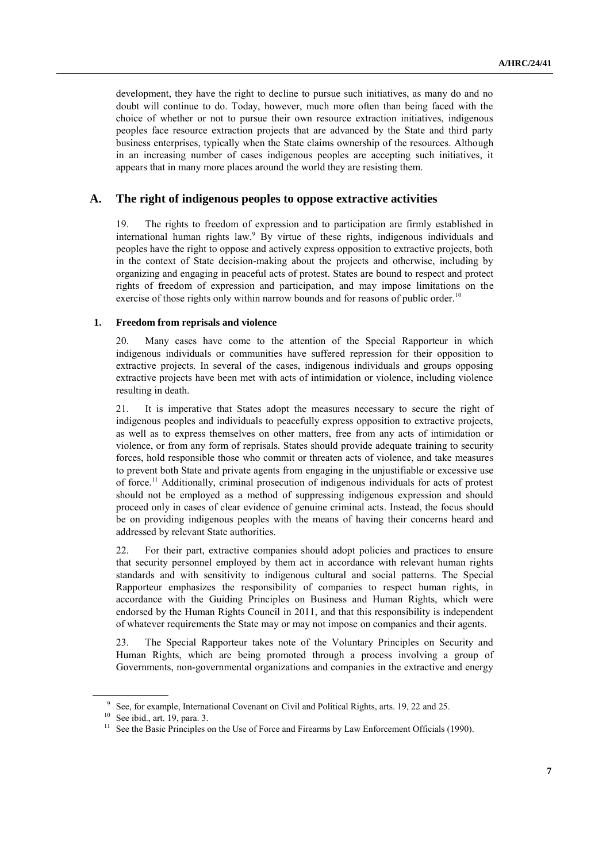development, they have the right to decline to pursue such initiatives, as many do and no doubt will continue to do. Today, however, much more often than being faced with the choice of whether or not to pursue their own resource extraction initiatives, indigenous peoples face resource extraction projects that are advanced by the State and third party business enterprises, typically when the State claims ownership of the resources. Although in an increasing number of cases indigenous peoples are accepting such initiatives, it appears that in many more places around the world they are resisting them.

## **A. The right of indigenous peoples to oppose extractive activities**

19. The rights to freedom of expression and to participation are firmly established in international human rights law.<sup>9</sup> By virtue of these rights, indigenous individuals and peoples have the right to oppose and actively express opposition to extractive projects, both in the context of State decision-making about the projects and otherwise, including by organizing and engaging in peaceful acts of protest. States are bound to respect and protect rights of freedom of expression and participation, and may impose limitations on the exercise of those rights only within narrow bounds and for reasons of public order.<sup>10</sup>

#### **1. Freedom from reprisals and violence**

20. Many cases have come to the attention of the Special Rapporteur in which indigenous individuals or communities have suffered repression for their opposition to extractive projects. In several of the cases, indigenous individuals and groups opposing extractive projects have been met with acts of intimidation or violence, including violence resulting in death.

21. It is imperative that States adopt the measures necessary to secure the right of indigenous peoples and individuals to peacefully express opposition to extractive projects, as well as to express themselves on other matters, free from any acts of intimidation or violence, or from any form of reprisals. States should provide adequate training to security forces, hold responsible those who commit or threaten acts of violence, and take measures to prevent both State and private agents from engaging in the unjustifiable or excessive use of force.<sup>11</sup> Additionally, criminal prosecution of indigenous individuals for acts of protest should not be employed as a method of suppressing indigenous expression and should proceed only in cases of clear evidence of genuine criminal acts. Instead, the focus should be on providing indigenous peoples with the means of having their concerns heard and addressed by relevant State authorities.

22. For their part, extractive companies should adopt policies and practices to ensure that security personnel employed by them act in accordance with relevant human rights standards and with sensitivity to indigenous cultural and social patterns. The Special Rapporteur emphasizes the responsibility of companies to respect human rights, in accordance with the Guiding Principles on Business and Human Rights, which were endorsed by the Human Rights Council in 2011, and that this responsibility is independent of whatever requirements the State may or may not impose on companies and their agents.

23. The Special Rapporteur takes note of the Voluntary Principles on Security and Human Rights, which are being promoted through a process involving a group of Governments, non-governmental organizations and companies in the extractive and energy

<sup>&</sup>lt;sup>9</sup> See, for example, International Covenant on Civil and Political Rights, arts. 19, 22 and 25.

<sup>10</sup> See ibid., art. 19, para. 3.

<sup>&</sup>lt;sup>11</sup> See the Basic Principles on the Use of Force and Firearms by Law Enforcement Officials (1990).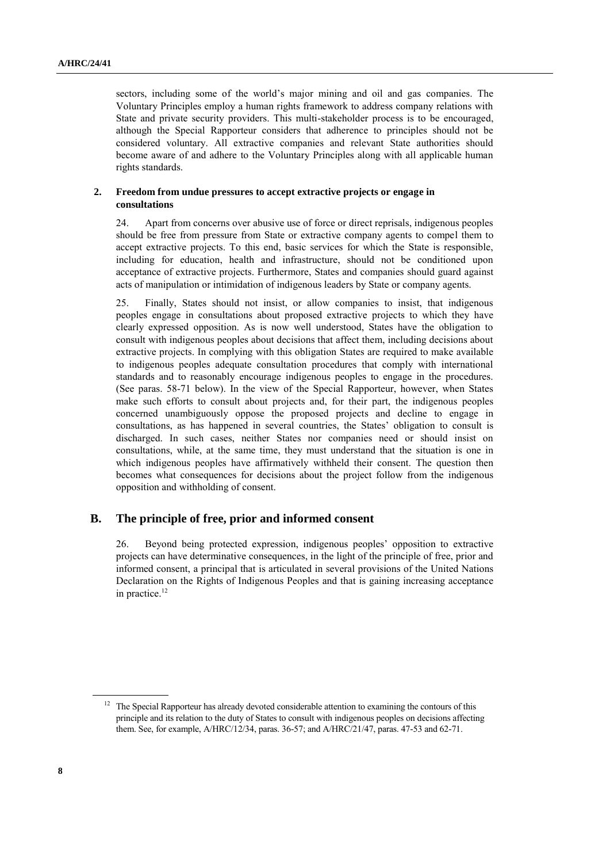sectors, including some of the world's major mining and oil and gas companies. The Voluntary Principles employ a human rights framework to address company relations with State and private security providers. This multi-stakeholder process is to be encouraged, although the Special Rapporteur considers that adherence to principles should not be considered voluntary. All extractive companies and relevant State authorities should become aware of and adhere to the Voluntary Principles along with all applicable human rights standards.

#### **2. Freedom from undue pressures to accept extractive projects or engage in consultations**

24. Apart from concerns over abusive use of force or direct reprisals, indigenous peoples should be free from pressure from State or extractive company agents to compel them to accept extractive projects. To this end, basic services for which the State is responsible, including for education, health and infrastructure, should not be conditioned upon acceptance of extractive projects. Furthermore, States and companies should guard against acts of manipulation or intimidation of indigenous leaders by State or company agents.

25. Finally, States should not insist, or allow companies to insist, that indigenous peoples engage in consultations about proposed extractive projects to which they have clearly expressed opposition. As is now well understood, States have the obligation to consult with indigenous peoples about decisions that affect them, including decisions about extractive projects. In complying with this obligation States are required to make available to indigenous peoples adequate consultation procedures that comply with international standards and to reasonably encourage indigenous peoples to engage in the procedures. (See paras. 58-71 below). In the view of the Special Rapporteur, however, when States make such efforts to consult about projects and, for their part, the indigenous peoples concerned unambiguously oppose the proposed projects and decline to engage in consultations, as has happened in several countries, the States' obligation to consult is discharged. In such cases, neither States nor companies need or should insist on consultations, while, at the same time, they must understand that the situation is one in which indigenous peoples have affirmatively withheld their consent. The question then becomes what consequences for decisions about the project follow from the indigenous opposition and withholding of consent.

## **B. The principle of free, prior and informed consent**

26. Beyond being protected expression, indigenous peoples' opposition to extractive projects can have determinative consequences, in the light of the principle of free, prior and informed consent, a principal that is articulated in several provisions of the United Nations Declaration on the Rights of Indigenous Peoples and that is gaining increasing acceptance in practice. 12

<sup>&</sup>lt;sup>12</sup> The Special Rapporteur has already devoted considerable attention to examining the contours of this principle and its relation to the duty of States to consult with indigenous peoples on decisions affecting them. See, for example, A/HRC/12/34, paras. 36-57; and A/HRC/21/47, paras. 47-53 and 62-71.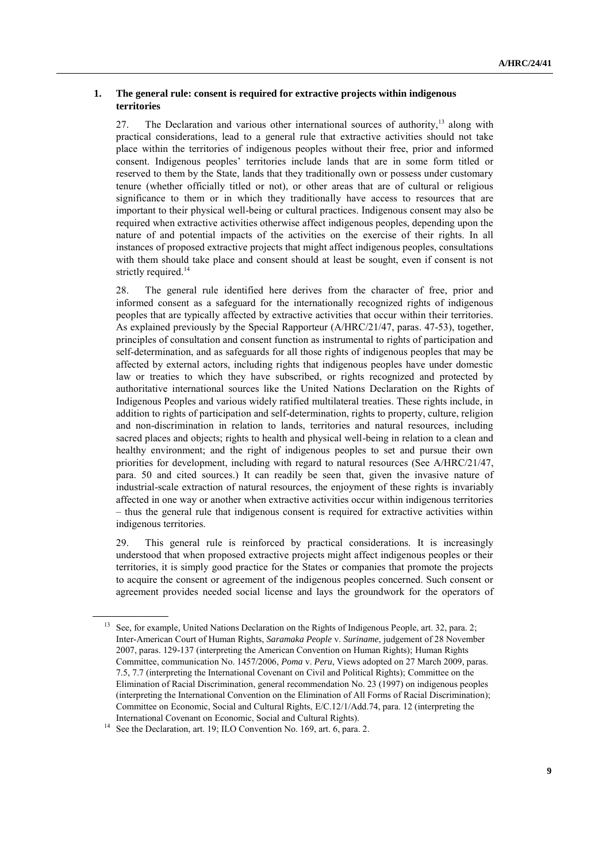#### **1. The general rule: consent is required for extractive projects within indigenous territories**

<span id="page-8-0"></span>27. The Declaration and various other international sources of authority,<sup>13</sup> along with practical considerations, lead to a general rule that extractive activities should not take place within the territories of indigenous peoples without their free, prior and informed consent. Indigenous peoples' territories include lands that are in some form titled or reserved to them by the State, lands that they traditionally own or possess under customary tenure (whether officially titled or not), or other areas that are of cultural or religious significance to them or in which they traditionally have access to resources that are important to their physical well-being or cultural practices. Indigenous consent may also be required when extractive activities otherwise affect indigenous peoples, depending upon the nature of and potential impacts of the activities on the exercise of their rights. In all instances of proposed extractive projects that might affect indigenous peoples, consultations with them should take place and consent should at least be sought, even if consent is not strictly required.<sup>14</sup>

28. The general rule identified here derives from the character of free, prior and informed consent as a safeguard for the internationally recognized rights of indigenous peoples that are typically affected by extractive activities that occur within their territories. As explained previously by the Special Rapporteur (A/HRC/21/47, paras. 47-53), together, principles of consultation and consent function as instrumental to rights of participation and self-determination, and as safeguards for all those rights of indigenous peoples that may be affected by external actors, including rights that indigenous peoples have under domestic law or treaties to which they have subscribed, or rights recognized and protected by authoritative international sources like the United Nations Declaration on the Rights of Indigenous Peoples and various widely ratified multilateral treaties. These rights include, in addition to rights of participation and self-determination, rights to property, culture, religion and non-discrimination in relation to lands, territories and natural resources, including sacred places and objects; rights to health and physical well-being in relation to a clean and healthy environment; and the right of indigenous peoples to set and pursue their own priorities for development, including with regard to natural resources (See A/HRC/21/47, para. 50 and cited sources.) It can readily be seen that, given the invasive nature of industrial-scale extraction of natural resources, the enjoyment of these rights is invariably affected in one way or another when extractive activities occur within indigenous territories – thus the general rule that indigenous consent is required for extractive activities within indigenous territories.

29. This general rule is reinforced by practical considerations. It is increasingly understood that when proposed extractive projects might affect indigenous peoples or their territories, it is simply good practice for the States or companies that promote the projects to acquire the consent or agreement of the indigenous peoples concerned. Such consent or agreement provides needed social license and lays the groundwork for the operators of

<sup>13</sup> See, for example, United Nations Declaration on the Rights of Indigenous People, art. 32, para. 2; Inter-American Court of Human Rights, *Saramaka People* v. *Suriname*, judgement of 28 November 2007, paras. 129-137 (interpreting the American Convention on Human Rights); Human Rights Committee, communication No. 1457/2006, *Poma* v. *Peru*, Views adopted on 27 March 2009, paras. 7.5, 7.7 (interpreting the International Covenant on Civil and Political Rights); Committee on the Elimination of Racial Discrimination, general recommendation No. 23 (1997) on indigenous peoples (interpreting the International Convention on the Elimination of All Forms of Racial Discrimination); Committee on Economic, Social and Cultural Rights, E/C.12/1/Add.74, para. 12 (interpreting the International Covenant on Economic, Social and Cultural Rights).

<sup>&</sup>lt;sup>14</sup> See the Declaration, art. 19; ILO Convention No. 169, art. 6, para. 2.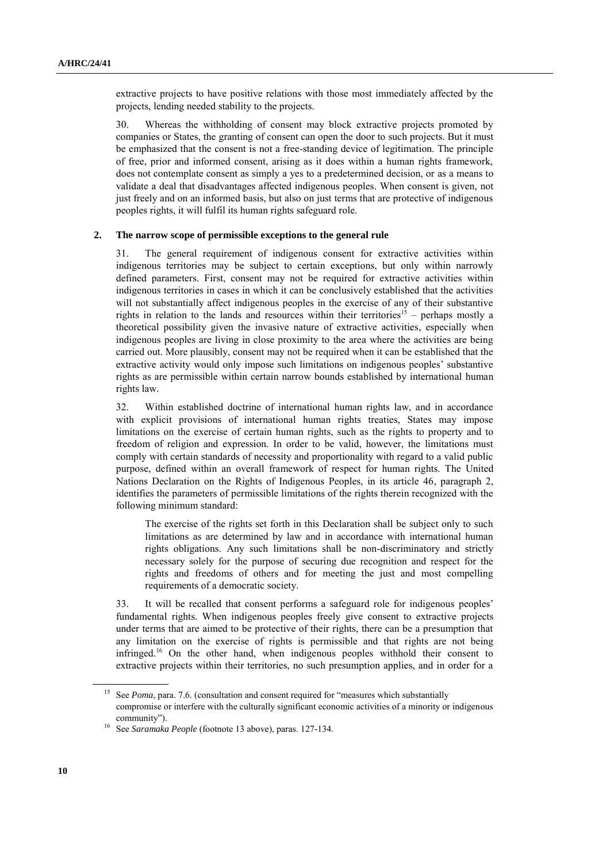extractive projects to have positive relations with those most immediately affected by the projects, lending needed stability to the projects.

30. Whereas the withholding of consent may block extractive projects promoted by companies or States, the granting of consent can open the door to such projects. But it must be emphasized that the consent is not a free-standing device of legitimation. The principle of free, prior and informed consent, arising as it does within a human rights framework, does not contemplate consent as simply a yes to a predetermined decision, or as a means to validate a deal that disadvantages affected indigenous peoples. When consent is given, not just freely and on an informed basis, but also on just terms that are protective of indigenous peoples rights, it will fulfil its human rights safeguard role.

#### **2. The narrow scope of permissible exceptions to the general rule**

31. The general requirement of indigenous consent for extractive activities within indigenous territories may be subject to certain exceptions, but only within narrowly defined parameters. First, consent may not be required for extractive activities within indigenous territories in cases in which it can be conclusively established that the activities will not substantially affect indigenous peoples in the exercise of any of their substantive rights in relation to the lands and resources within their territories<sup>15</sup> – perhaps mostly a theoretical possibility given the invasive nature of extractive activities, especially when indigenous peoples are living in close proximity to the area where the activities are being carried out. More plausibly, consent may not be required when it can be established that the extractive activity would only impose such limitations on indigenous peoples' substantive rights as are permissible within certain narrow bounds established by international human rights law.

32. Within established doctrine of international human rights law, and in accordance with explicit provisions of international human rights treaties, States may impose limitations on the exercise of certain human rights, such as the rights to property and to freedom of religion and expression. In order to be valid, however, the limitations must comply with certain standards of necessity and proportionality with regard to a valid public purpose, defined within an overall framework of respect for human rights. The United Nations Declaration on the Rights of Indigenous Peoples, in its article 46, paragraph 2, identifies the parameters of permissible limitations of the rights therein recognized with the following minimum standard:

The exercise of the rights set forth in this Declaration shall be subject only to such limitations as are determined by law and in accordance with international human rights obligations. Any such limitations shall be non-discriminatory and strictly necessary solely for the purpose of securing due recognition and respect for the rights and freedoms of others and for meeting the just and most compelling requirements of a democratic society.

33. It will be recalled that consent performs a safeguard role for indigenous peoples' fundamental rights. When indigenous peoples freely give consent to extractive projects under terms that are aimed to be protective of their rights, there can be a presumption that any limitation on the exercise of rights is permissible and that rights are not being infringed.<sup>16</sup> On the other hand, when indigenous peoples withhold their consent to extractive projects within their territories, no such presumption applies, and in order for a

<sup>&</sup>lt;sup>15</sup> See *Poma*, para. 7.6. (consultation and consent required for "measures which substantially compromise or interfere with the culturally significant economic activities of a minority or indigenous community").

<sup>16</sup> See *Saramaka People* (footnote [13](#page-8-0) above), paras. 127-134.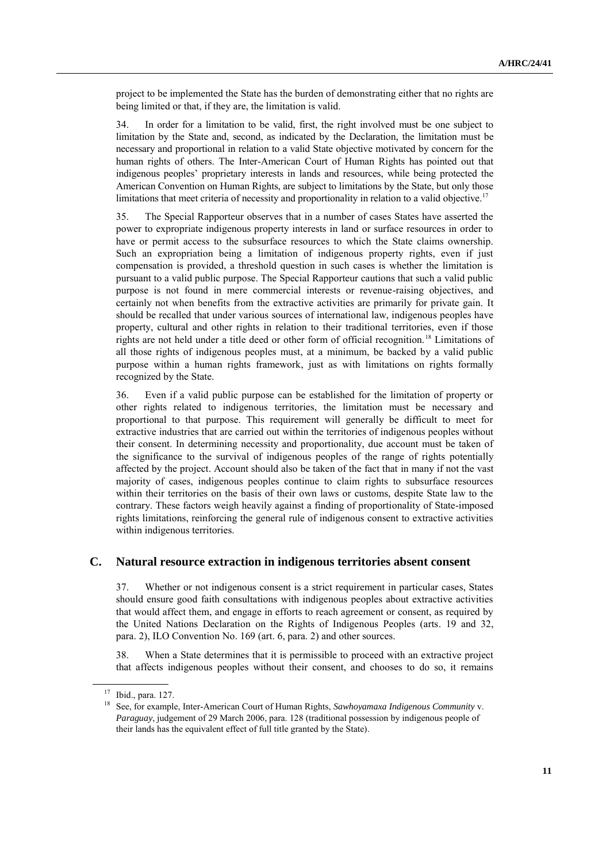project to be implemented the State has the burden of demonstrating either that no rights are being limited or that, if they are, the limitation is valid.

34. In order for a limitation to be valid, first, the right involved must be one subject to limitation by the State and, second, as indicated by the Declaration, the limitation must be necessary and proportional in relation to a valid State objective motivated by concern for the human rights of others. The Inter-American Court of Human Rights has pointed out that indigenous peoples' proprietary interests in lands and resources, while being protected the American Convention on Human Rights, are subject to limitations by the State, but only those limitations that meet criteria of necessity and proportionality in relation to a valid objective.<sup>17</sup>

35. The Special Rapporteur observes that in a number of cases States have asserted the power to expropriate indigenous property interests in land or surface resources in order to have or permit access to the subsurface resources to which the State claims ownership. Such an expropriation being a limitation of indigenous property rights, even if just compensation is provided, a threshold question in such cases is whether the limitation is pursuant to a valid public purpose. The Special Rapporteur cautions that such a valid public purpose is not found in mere commercial interests or revenue-raising objectives, and certainly not when benefits from the extractive activities are primarily for private gain. It should be recalled that under various sources of international law, indigenous peoples have property, cultural and other rights in relation to their traditional territories, even if those rights are not held under a title deed or other form of official recognition.<sup>18</sup> Limitations of all those rights of indigenous peoples must, at a minimum, be backed by a valid public purpose within a human rights framework, just as with limitations on rights formally recognized by the State.

36. Even if a valid public purpose can be established for the limitation of property or other rights related to indigenous territories, the limitation must be necessary and proportional to that purpose. This requirement will generally be difficult to meet for extractive industries that are carried out within the territories of indigenous peoples without their consent. In determining necessity and proportionality, due account must be taken of the significance to the survival of indigenous peoples of the range of rights potentially affected by the project. Account should also be taken of the fact that in many if not the vast majority of cases, indigenous peoples continue to claim rights to subsurface resources within their territories on the basis of their own laws or customs, despite State law to the contrary. These factors weigh heavily against a finding of proportionality of State-imposed rights limitations, reinforcing the general rule of indigenous consent to extractive activities within indigenous territories.

### **C. Natural resource extraction in indigenous territories absent consent**

37. Whether or not indigenous consent is a strict requirement in particular cases, States should ensure good faith consultations with indigenous peoples about extractive activities that would affect them, and engage in efforts to reach agreement or consent, as required by the United Nations Declaration on the Rights of Indigenous Peoples (arts. 19 and 32, para. 2), ILO Convention No. 169 (art. 6, para. 2) and other sources.

38. When a State determines that it is permissible to proceed with an extractive project that affects indigenous peoples without their consent, and chooses to do so, it remains

<sup>17</sup> Ibid., para. 127.

<sup>18</sup> See, for example, Inter-American Court of Human Rights, *Sawhoyamaxa Indigenous Community* v. *Paraguay*, judgement of 29 March 2006, para. 128 (traditional possession by indigenous people of their lands has the equivalent effect of full title granted by the State).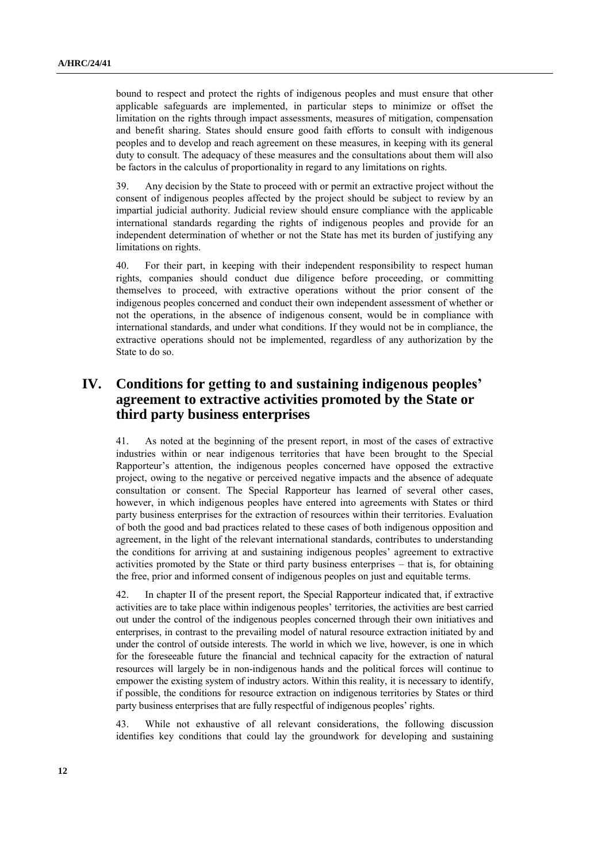bound to respect and protect the rights of indigenous peoples and must ensure that other applicable safeguards are implemented, in particular steps to minimize or offset the limitation on the rights through impact assessments, measures of mitigation, compensation and benefit sharing. States should ensure good faith efforts to consult with indigenous peoples and to develop and reach agreement on these measures, in keeping with its general duty to consult. The adequacy of these measures and the consultations about them will also be factors in the calculus of proportionality in regard to any limitations on rights.

39. Any decision by the State to proceed with or permit an extractive project without the consent of indigenous peoples affected by the project should be subject to review by an impartial judicial authority. Judicial review should ensure compliance with the applicable international standards regarding the rights of indigenous peoples and provide for an independent determination of whether or not the State has met its burden of justifying any limitations on rights.

40. For their part, in keeping with their independent responsibility to respect human rights, companies should conduct due diligence before proceeding, or committing themselves to proceed, with extractive operations without the prior consent of the indigenous peoples concerned and conduct their own independent assessment of whether or not the operations, in the absence of indigenous consent, would be in compliance with international standards, and under what conditions. If they would not be in compliance, the extractive operations should not be implemented, regardless of any authorization by the State to do so.

## **IV. Conditions for getting to and sustaining indigenous peoples' agreement to extractive activities promoted by the State or third party business enterprises**

41. As noted at the beginning of the present report, in most of the cases of extractive industries within or near indigenous territories that have been brought to the Special Rapporteur's attention, the indigenous peoples concerned have opposed the extractive project, owing to the negative or perceived negative impacts and the absence of adequate consultation or consent. The Special Rapporteur has learned of several other cases, however, in which indigenous peoples have entered into agreements with States or third party business enterprises for the extraction of resources within their territories. Evaluation of both the good and bad practices related to these cases of both indigenous opposition and agreement, in the light of the relevant international standards, contributes to understanding the conditions for arriving at and sustaining indigenous peoples' agreement to extractive activities promoted by the State or third party business enterprises – that is, for obtaining the free, prior and informed consent of indigenous peoples on just and equitable terms.

42. In chapter II of the present report, the Special Rapporteur indicated that, if extractive activities are to take place within indigenous peoples' territories, the activities are best carried out under the control of the indigenous peoples concerned through their own initiatives and enterprises, in contrast to the prevailing model of natural resource extraction initiated by and under the control of outside interests. The world in which we live, however, is one in which for the foreseeable future the financial and technical capacity for the extraction of natural resources will largely be in non-indigenous hands and the political forces will continue to empower the existing system of industry actors. Within this reality, it is necessary to identify, if possible, the conditions for resource extraction on indigenous territories by States or third party business enterprises that are fully respectful of indigenous peoples' rights.

43. While not exhaustive of all relevant considerations, the following discussion identifies key conditions that could lay the groundwork for developing and sustaining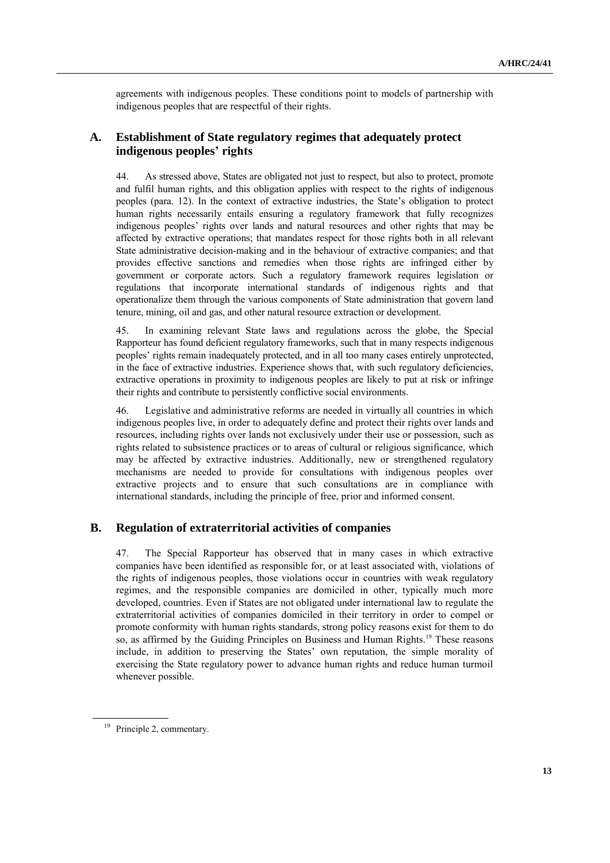agreements with indigenous peoples. These conditions point to models of partnership with indigenous peoples that are respectful of their rights.

## **A. Establishment of State regulatory regimes that adequately protect indigenous peoples' rights**

44. As stressed above, States are obligated not just to respect, but also to protect, promote and fulfil human rights, and this obligation applies with respect to the rights of indigenous peoples (para. 12). In the context of extractive industries, the State's obligation to protect human rights necessarily entails ensuring a regulatory framework that fully recognizes indigenous peoples' rights over lands and natural resources and other rights that may be affected by extractive operations; that mandates respect for those rights both in all relevant State administrative decision-making and in the behaviour of extractive companies; and that provides effective sanctions and remedies when those rights are infringed either by government or corporate actors. Such a regulatory framework requires legislation or regulations that incorporate international standards of indigenous rights and that operationalize them through the various components of State administration that govern land tenure, mining, oil and gas, and other natural resource extraction or development.

45. In examining relevant State laws and regulations across the globe, the Special Rapporteur has found deficient regulatory frameworks, such that in many respects indigenous peoples' rights remain inadequately protected, and in all too many cases entirely unprotected, in the face of extractive industries. Experience shows that, with such regulatory deficiencies, extractive operations in proximity to indigenous peoples are likely to put at risk or infringe their rights and contribute to persistently conflictive social environments.

46. Legislative and administrative reforms are needed in virtually all countries in which indigenous peoples live, in order to adequately define and protect their rights over lands and resources, including rights over lands not exclusively under their use or possession, such as rights related to subsistence practices or to areas of cultural or religious significance, which may be affected by extractive industries. Additionally, new or strengthened regulatory mechanisms are needed to provide for consultations with indigenous peoples over extractive projects and to ensure that such consultations are in compliance with international standards, including the principle of free, prior and informed consent.

## **B. Regulation of extraterritorial activities of companies**

47. The Special Rapporteur has observed that in many cases in which extractive companies have been identified as responsible for, or at least associated with, violations of the rights of indigenous peoples, those violations occur in countries with weak regulatory regimes, and the responsible companies are domiciled in other, typically much more developed, countries. Even if States are not obligated under international law to regulate the extraterritorial activities of companies domiciled in their territory in order to compel or promote conformity with human rights standards, strong policy reasons exist for them to do so, as affirmed by the Guiding Principles on Business and Human Rights.<sup>19</sup> These reasons include, in addition to preserving the States' own reputation, the simple morality of exercising the State regulatory power to advance human rights and reduce human turmoil whenever possible.

<sup>&</sup>lt;sup>19</sup> Principle 2, commentary.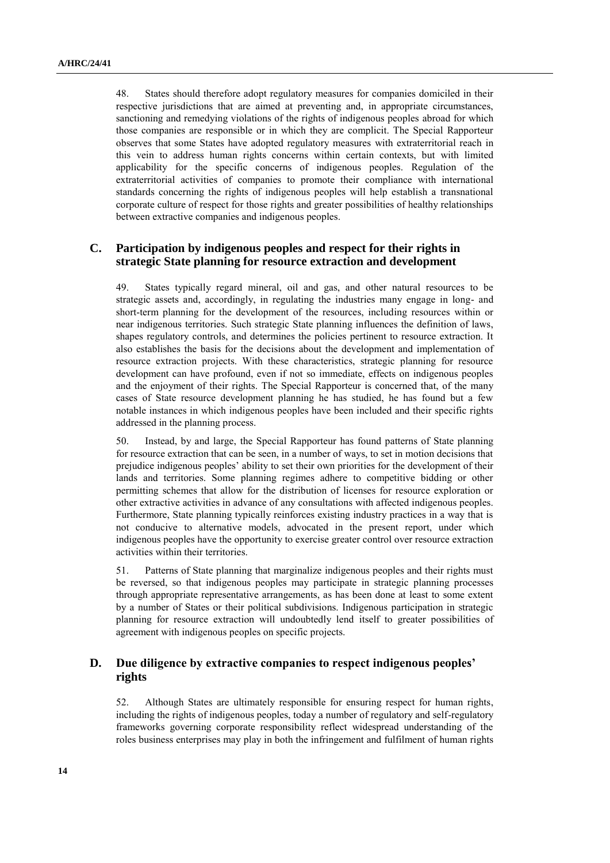48. States should therefore adopt regulatory measures for companies domiciled in their respective jurisdictions that are aimed at preventing and, in appropriate circumstances, sanctioning and remedying violations of the rights of indigenous peoples abroad for which those companies are responsible or in which they are complicit. The Special Rapporteur observes that some States have adopted regulatory measures with extraterritorial reach in this vein to address human rights concerns within certain contexts, but with limited applicability for the specific concerns of indigenous peoples. Regulation of the extraterritorial activities of companies to promote their compliance with international standards concerning the rights of indigenous peoples will help establish a transnational corporate culture of respect for those rights and greater possibilities of healthy relationships between extractive companies and indigenous peoples.

## **C. Participation by indigenous peoples and respect for their rights in strategic State planning for resource extraction and development**

49. States typically regard mineral, oil and gas, and other natural resources to be strategic assets and, accordingly, in regulating the industries many engage in long- and short-term planning for the development of the resources, including resources within or near indigenous territories. Such strategic State planning influences the definition of laws, shapes regulatory controls, and determines the policies pertinent to resource extraction. It also establishes the basis for the decisions about the development and implementation of resource extraction projects. With these characteristics, strategic planning for resource development can have profound, even if not so immediate, effects on indigenous peoples and the enjoyment of their rights. The Special Rapporteur is concerned that, of the many cases of State resource development planning he has studied, he has found but a few notable instances in which indigenous peoples have been included and their specific rights addressed in the planning process.

50. Instead, by and large, the Special Rapporteur has found patterns of State planning for resource extraction that can be seen, in a number of ways, to set in motion decisions that prejudice indigenous peoples' ability to set their own priorities for the development of their lands and territories. Some planning regimes adhere to competitive bidding or other permitting schemes that allow for the distribution of licenses for resource exploration or other extractive activities in advance of any consultations with affected indigenous peoples. Furthermore, State planning typically reinforces existing industry practices in a way that is not conducive to alternative models, advocated in the present report, under which indigenous peoples have the opportunity to exercise greater control over resource extraction activities within their territories.

51. Patterns of State planning that marginalize indigenous peoples and their rights must be reversed, so that indigenous peoples may participate in strategic planning processes through appropriate representative arrangements, as has been done at least to some extent by a number of States or their political subdivisions. Indigenous participation in strategic planning for resource extraction will undoubtedly lend itself to greater possibilities of agreement with indigenous peoples on specific projects.

## **D. Due diligence by extractive companies to respect indigenous peoples' rights**

52. Although States are ultimately responsible for ensuring respect for human rights, including the rights of indigenous peoples, today a number of regulatory and self-regulatory frameworks governing corporate responsibility reflect widespread understanding of the roles business enterprises may play in both the infringement and fulfilment of human rights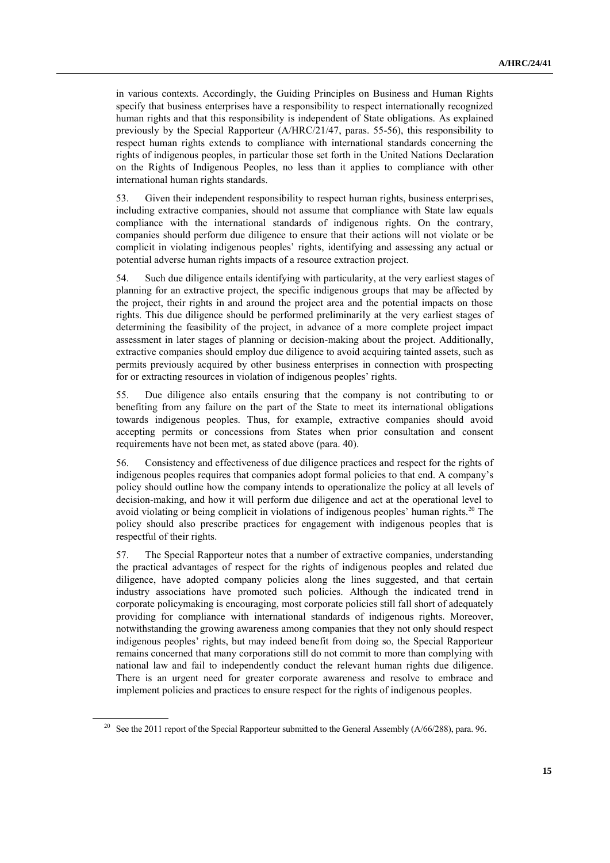in various contexts. Accordingly, the Guiding Principles on Business and Human Rights specify that business enterprises have a responsibility to respect internationally recognized human rights and that this responsibility is independent of State obligations. As explained previously by the Special Rapporteur (A/HRC/21/47, paras. 55-56), this responsibility to respect human rights extends to compliance with international standards concerning the rights of indigenous peoples, in particular those set forth in the United Nations Declaration on the Rights of Indigenous Peoples, no less than it applies to compliance with other international human rights standards.

53. Given their independent responsibility to respect human rights, business enterprises, including extractive companies, should not assume that compliance with State law equals compliance with the international standards of indigenous rights. On the contrary, companies should perform due diligence to ensure that their actions will not violate or be complicit in violating indigenous peoples' rights, identifying and assessing any actual or potential adverse human rights impacts of a resource extraction project.

54. Such due diligence entails identifying with particularity, at the very earliest stages of planning for an extractive project, the specific indigenous groups that may be affected by the project, their rights in and around the project area and the potential impacts on those rights. This due diligence should be performed preliminarily at the very earliest stages of determining the feasibility of the project, in advance of a more complete project impact assessment in later stages of planning or decision-making about the project. Additionally, extractive companies should employ due diligence to avoid acquiring tainted assets, such as permits previously acquired by other business enterprises in connection with prospecting for or extracting resources in violation of indigenous peoples' rights.

55. Due diligence also entails ensuring that the company is not contributing to or benefiting from any failure on the part of the State to meet its international obligations towards indigenous peoples. Thus, for example, extractive companies should avoid accepting permits or concessions from States when prior consultation and consent requirements have not been met, as stated above (para. 40).

56. Consistency and effectiveness of due diligence practices and respect for the rights of indigenous peoples requires that companies adopt formal policies to that end. A company's policy should outline how the company intends to operationalize the policy at all levels of decision-making, and how it will perform due diligence and act at the operational level to avoid violating or being complicit in violations of indigenous peoples' human rights.<sup>20</sup> The policy should also prescribe practices for engagement with indigenous peoples that is respectful of their rights.

57. The Special Rapporteur notes that a number of extractive companies, understanding the practical advantages of respect for the rights of indigenous peoples and related due diligence, have adopted company policies along the lines suggested, and that certain industry associations have promoted such policies. Although the indicated trend in corporate policymaking is encouraging, most corporate policies still fall short of adequately providing for compliance with international standards of indigenous rights. Moreover, notwithstanding the growing awareness among companies that they not only should respect indigenous peoples' rights, but may indeed benefit from doing so, the Special Rapporteur remains concerned that many corporations still do not commit to more than complying with national law and fail to independently conduct the relevant human rights due diligence. There is an urgent need for greater corporate awareness and resolve to embrace and implement policies and practices to ensure respect for the rights of indigenous peoples.

<sup>&</sup>lt;sup>20</sup> See the 2011 report of the Special Rapporteur submitted to the General Assembly ( $A/66/288$ ), para. 96.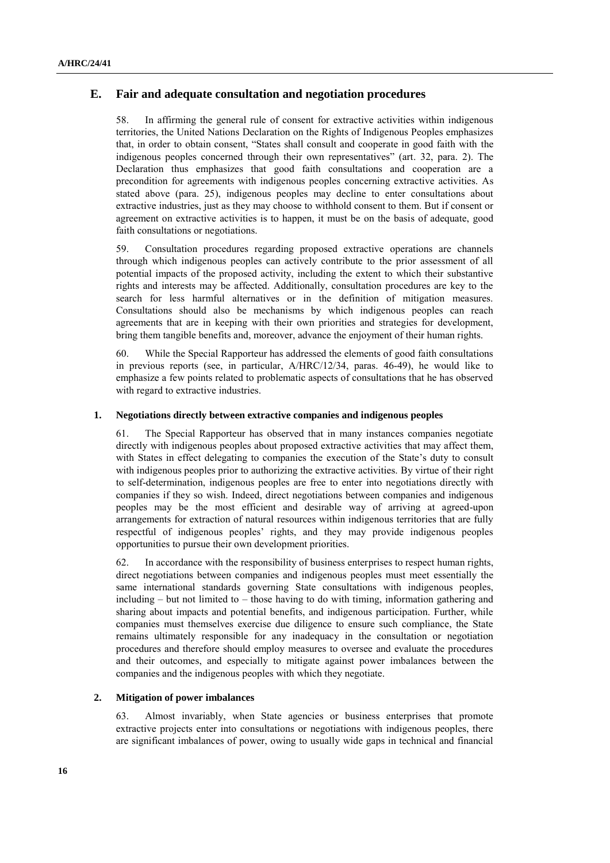## **E. Fair and adequate consultation and negotiation procedures**

58. In affirming the general rule of consent for extractive activities within indigenous territories, the United Nations Declaration on the Rights of Indigenous Peoples emphasizes that, in order to obtain consent, "States shall consult and cooperate in good faith with the indigenous peoples concerned through their own representatives" (art. 32, para. 2). The Declaration thus emphasizes that good faith consultations and cooperation are a precondition for agreements with indigenous peoples concerning extractive activities. As stated above (para. 25), indigenous peoples may decline to enter consultations about extractive industries, just as they may choose to withhold consent to them. But if consent or agreement on extractive activities is to happen, it must be on the basis of adequate, good faith consultations or negotiations.

59. Consultation procedures regarding proposed extractive operations are channels through which indigenous peoples can actively contribute to the prior assessment of all potential impacts of the proposed activity, including the extent to which their substantive rights and interests may be affected. Additionally, consultation procedures are key to the search for less harmful alternatives or in the definition of mitigation measures. Consultations should also be mechanisms by which indigenous peoples can reach agreements that are in keeping with their own priorities and strategies for development, bring them tangible benefits and, moreover, advance the enjoyment of their human rights.

60. While the Special Rapporteur has addressed the elements of good faith consultations in previous reports (see, in particular, A/HRC/12/34, paras. 46-49), he would like to emphasize a few points related to problematic aspects of consultations that he has observed with regard to extractive industries.

#### **1. Negotiations directly between extractive companies and indigenous peoples**

61. The Special Rapporteur has observed that in many instances companies negotiate directly with indigenous peoples about proposed extractive activities that may affect them, with States in effect delegating to companies the execution of the State's duty to consult with indigenous peoples prior to authorizing the extractive activities. By virtue of their right to self-determination, indigenous peoples are free to enter into negotiations directly with companies if they so wish. Indeed, direct negotiations between companies and indigenous peoples may be the most efficient and desirable way of arriving at agreed-upon arrangements for extraction of natural resources within indigenous territories that are fully respectful of indigenous peoples' rights, and they may provide indigenous peoples opportunities to pursue their own development priorities.

62. In accordance with the responsibility of business enterprises to respect human rights, direct negotiations between companies and indigenous peoples must meet essentially the same international standards governing State consultations with indigenous peoples, including – but not limited to – those having to do with timing, information gathering and sharing about impacts and potential benefits, and indigenous participation. Further, while companies must themselves exercise due diligence to ensure such compliance, the State remains ultimately responsible for any inadequacy in the consultation or negotiation procedures and therefore should employ measures to oversee and evaluate the procedures and their outcomes, and especially to mitigate against power imbalances between the companies and the indigenous peoples with which they negotiate.

#### **2. Mitigation of power imbalances**

63. Almost invariably, when State agencies or business enterprises that promote extractive projects enter into consultations or negotiations with indigenous peoples, there are significant imbalances of power, owing to usually wide gaps in technical and financial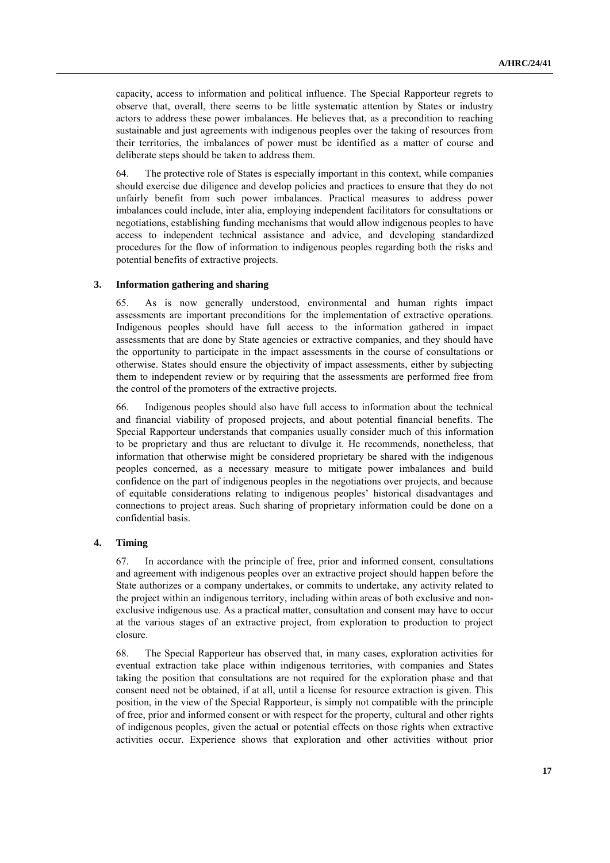capacity, access to information and political influence. The Special Rapporteur regrets to observe that, overall, there seems to be little systematic attention by States or industry actors to address these power imbalances. He believes that, as a precondition to reaching sustainable and just agreements with indigenous peoples over the taking of resources from their territories, the imbalances of power must be identified as a matter of course and deliberate steps should be taken to address them.

64. The protective role of States is especially important in this context, while companies should exercise due diligence and develop policies and practices to ensure that they do not unfairly benefit from such power imbalances. Practical measures to address power imbalances could include, inter alia, employing independent facilitators for consultations or negotiations, establishing funding mechanisms that would allow indigenous peoples to have access to independent technical assistance and advice, and developing standardized procedures for the flow of information to indigenous peoples regarding both the risks and potential benefits of extractive projects.

#### **3. Information gathering and sharing**

65. As is now generally understood, environmental and human rights impact assessments are important preconditions for the implementation of extractive operations. Indigenous peoples should have full access to the information gathered in impact assessments that are done by State agencies or extractive companies, and they should have the opportunity to participate in the impact assessments in the course of consultations or otherwise. States should ensure the objectivity of impact assessments, either by subjecting them to independent review or by requiring that the assessments are performed free from the control of the promoters of the extractive projects.

66. Indigenous peoples should also have full access to information about the technical and financial viability of proposed projects, and about potential financial benefits. The Special Rapporteur understands that companies usually consider much of this information to be proprietary and thus are reluctant to divulge it. He recommends, nonetheless, that information that otherwise might be considered proprietary be shared with the indigenous peoples concerned, as a necessary measure to mitigate power imbalances and build confidence on the part of indigenous peoples in the negotiations over projects, and because of equitable considerations relating to indigenous peoples' historical disadvantages and connections to project areas. Such sharing of proprietary information could be done on a confidential basis.

#### **4. Timing**

67. In accordance with the principle of free, prior and informed consent, consultations and agreement with indigenous peoples over an extractive project should happen before the State authorizes or a company undertakes, or commits to undertake, any activity related to the project within an indigenous territory, including within areas of both exclusive and nonexclusive indigenous use. As a practical matter, consultation and consent may have to occur at the various stages of an extractive project, from exploration to production to project closure.

68. The Special Rapporteur has observed that, in many cases, exploration activities for eventual extraction take place within indigenous territories, with companies and States taking the position that consultations are not required for the exploration phase and that consent need not be obtained, if at all, until a license for resource extraction is given. This position, in the view of the Special Rapporteur, is simply not compatible with the principle of free, prior and informed consent or with respect for the property, cultural and other rights of indigenous peoples, given the actual or potential effects on those rights when extractive activities occur. Experience shows that exploration and other activities without prior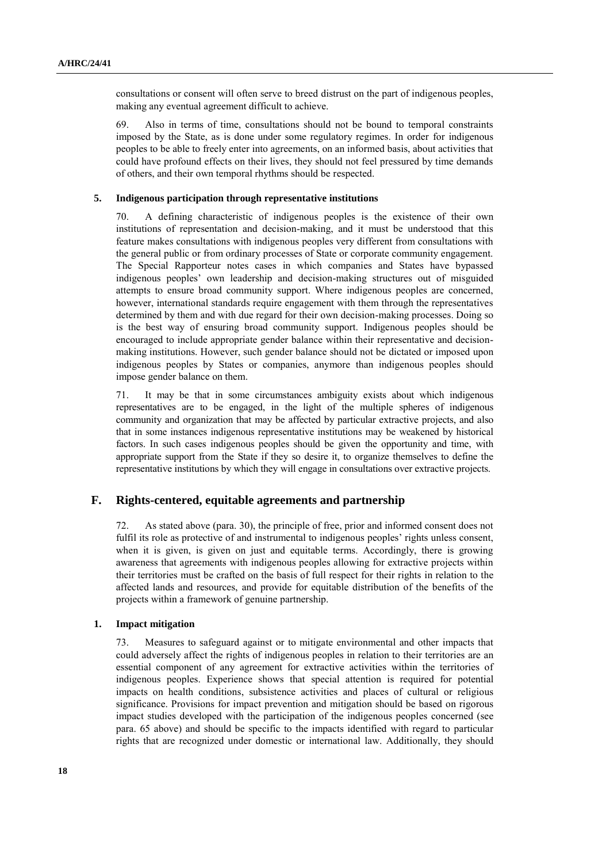consultations or consent will often serve to breed distrust on the part of indigenous peoples, making any eventual agreement difficult to achieve.

69. Also in terms of time, consultations should not be bound to temporal constraints imposed by the State, as is done under some regulatory regimes. In order for indigenous peoples to be able to freely enter into agreements, on an informed basis, about activities that could have profound effects on their lives, they should not feel pressured by time demands of others, and their own temporal rhythms should be respected.

#### **5. Indigenous participation through representative institutions**

70. A defining characteristic of indigenous peoples is the existence of their own institutions of representation and decision-making, and it must be understood that this feature makes consultations with indigenous peoples very different from consultations with the general public or from ordinary processes of State or corporate community engagement. The Special Rapporteur notes cases in which companies and States have bypassed indigenous peoples' own leadership and decision-making structures out of misguided attempts to ensure broad community support. Where indigenous peoples are concerned, however, international standards require engagement with them through the representatives determined by them and with due regard for their own decision-making processes. Doing so is the best way of ensuring broad community support. Indigenous peoples should be encouraged to include appropriate gender balance within their representative and decisionmaking institutions. However, such gender balance should not be dictated or imposed upon indigenous peoples by States or companies, anymore than indigenous peoples should impose gender balance on them.

71. It may be that in some circumstances ambiguity exists about which indigenous representatives are to be engaged, in the light of the multiple spheres of indigenous community and organization that may be affected by particular extractive projects, and also that in some instances indigenous representative institutions may be weakened by historical factors. In such cases indigenous peoples should be given the opportunity and time, with appropriate support from the State if they so desire it, to organize themselves to define the representative institutions by which they will engage in consultations over extractive projects.

### **F. Rights-centered, equitable agreements and partnership**

72. As stated above (para. 30), the principle of free, prior and informed consent does not fulfil its role as protective of and instrumental to indigenous peoples' rights unless consent, when it is given, is given on just and equitable terms. Accordingly, there is growing awareness that agreements with indigenous peoples allowing for extractive projects within their territories must be crafted on the basis of full respect for their rights in relation to the affected lands and resources, and provide for equitable distribution of the benefits of the projects within a framework of genuine partnership.

#### **1. Impact mitigation**

73. Measures to safeguard against or to mitigate environmental and other impacts that could adversely affect the rights of indigenous peoples in relation to their territories are an essential component of any agreement for extractive activities within the territories of indigenous peoples. Experience shows that special attention is required for potential impacts on health conditions, subsistence activities and places of cultural or religious significance. Provisions for impact prevention and mitigation should be based on rigorous impact studies developed with the participation of the indigenous peoples concerned (see para. 65 above) and should be specific to the impacts identified with regard to particular rights that are recognized under domestic or international law. Additionally, they should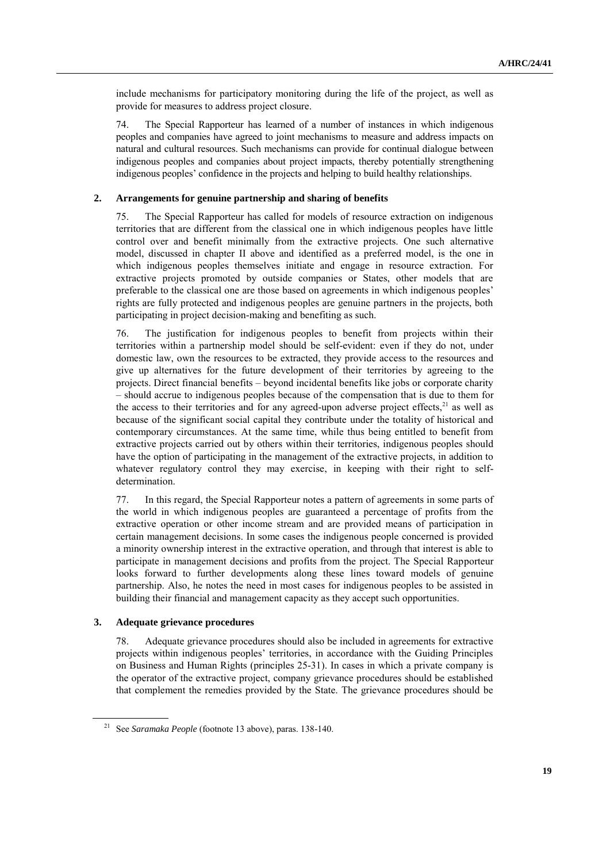include mechanisms for participatory monitoring during the life of the project, as well as provide for measures to address project closure.

74. The Special Rapporteur has learned of a number of instances in which indigenous peoples and companies have agreed to joint mechanisms to measure and address impacts on natural and cultural resources. Such mechanisms can provide for continual dialogue between indigenous peoples and companies about project impacts, thereby potentially strengthening indigenous peoples' confidence in the projects and helping to build healthy relationships.

#### **2. Arrangements for genuine partnership and sharing of benefits**

75. The Special Rapporteur has called for models of resource extraction on indigenous territories that are different from the classical one in which indigenous peoples have little control over and benefit minimally from the extractive projects. One such alternative model, discussed in chapter II above and identified as a preferred model, is the one in which indigenous peoples themselves initiate and engage in resource extraction. For extractive projects promoted by outside companies or States, other models that are preferable to the classical one are those based on agreements in which indigenous peoples' rights are fully protected and indigenous peoples are genuine partners in the projects, both participating in project decision-making and benefiting as such.

76. The justification for indigenous peoples to benefit from projects within their territories within a partnership model should be self-evident: even if they do not, under domestic law, own the resources to be extracted, they provide access to the resources and give up alternatives for the future development of their territories by agreeing to the projects. Direct financial benefits – beyond incidental benefits like jobs or corporate charity – should accrue to indigenous peoples because of the compensation that is due to them for the access to their territories and for any agreed-upon adverse project effects, $2<sup>1</sup>$  as well as because of the significant social capital they contribute under the totality of historical and contemporary circumstances. At the same time, while thus being entitled to benefit from extractive projects carried out by others within their territories, indigenous peoples should have the option of participating in the management of the extractive projects, in addition to whatever regulatory control they may exercise, in keeping with their right to selfdetermination.

77. In this regard, the Special Rapporteur notes a pattern of agreements in some parts of the world in which indigenous peoples are guaranteed a percentage of profits from the extractive operation or other income stream and are provided means of participation in certain management decisions. In some cases the indigenous people concerned is provided a minority ownership interest in the extractive operation, and through that interest is able to participate in management decisions and profits from the project. The Special Rapporteur looks forward to further developments along these lines toward models of genuine partnership. Also, he notes the need in most cases for indigenous peoples to be assisted in building their financial and management capacity as they accept such opportunities.

#### **3. Adequate grievance procedures**

78. Adequate grievance procedures should also be included in agreements for extractive projects within indigenous peoples' territories, in accordance with the Guiding Principles on Business and Human Rights (principles 25-31). In cases in which a private company is the operator of the extractive project, company grievance procedures should be established that complement the remedies provided by the State. The grievance procedures should be

<sup>21</sup> See *Saramaka People* (footnote [13](#page-8-0) above), paras. 138-140.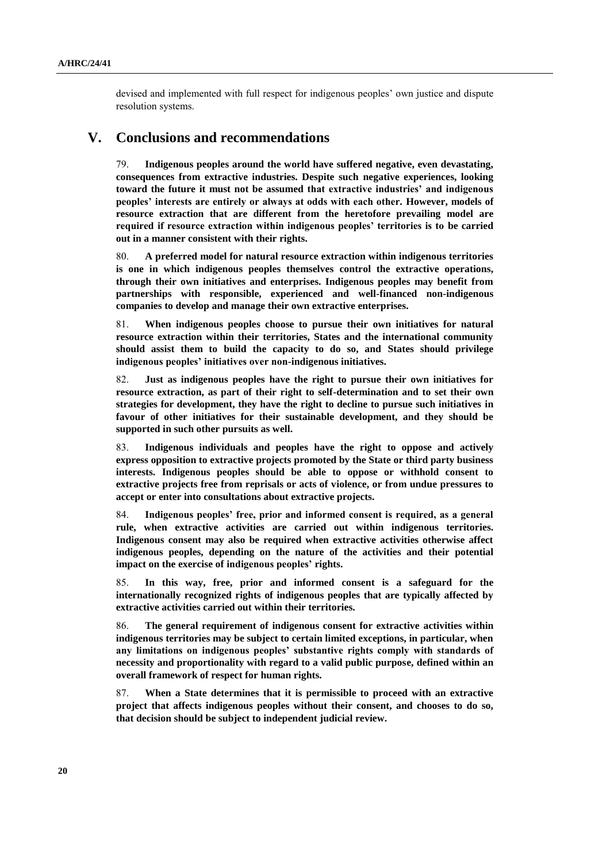devised and implemented with full respect for indigenous peoples' own justice and dispute resolution systems.

## **V. Conclusions and recommendations**

79. **Indigenous peoples around the world have suffered negative, even devastating, consequences from extractive industries. Despite such negative experiences, looking toward the future it must not be assumed that extractive industries' and indigenous peoples' interests are entirely or always at odds with each other. However, models of resource extraction that are different from the heretofore prevailing model are required if resource extraction within indigenous peoples' territories is to be carried out in a manner consistent with their rights.**

80. **A preferred model for natural resource extraction within indigenous territories is one in which indigenous peoples themselves control the extractive operations, through their own initiatives and enterprises. Indigenous peoples may benefit from partnerships with responsible, experienced and well-financed non-indigenous companies to develop and manage their own extractive enterprises.** 

81. **When indigenous peoples choose to pursue their own initiatives for natural resource extraction within their territories, States and the international community should assist them to build the capacity to do so, and States should privilege indigenous peoples' initiatives over non-indigenous initiatives.** 

82. **Just as indigenous peoples have the right to pursue their own initiatives for resource extraction, as part of their right to self-determination and to set their own strategies for development, they have the right to decline to pursue such initiatives in favour of other initiatives for their sustainable development, and they should be supported in such other pursuits as well.**

83. **Indigenous individuals and peoples have the right to oppose and actively express opposition to extractive projects promoted by the State or third party business interests. Indigenous peoples should be able to oppose or withhold consent to extractive projects free from reprisals or acts of violence, or from undue pressures to accept or enter into consultations about extractive projects.**

84. **Indigenous peoples' free, prior and informed consent is required, as a general rule, when extractive activities are carried out within indigenous territories. Indigenous consent may also be required when extractive activities otherwise affect indigenous peoples, depending on the nature of the activities and their potential impact on the exercise of indigenous peoples' rights.** 

85. **In this way, free, prior and informed consent is a safeguard for the internationally recognized rights of indigenous peoples that are typically affected by extractive activities carried out within their territories.** 

86. **The general requirement of indigenous consent for extractive activities within indigenous territories may be subject to certain limited exceptions, in particular, when any limitations on indigenous peoples' substantive rights comply with standards of necessity and proportionality with regard to a valid public purpose, defined within an overall framework of respect for human rights.**

87. **When a State determines that it is permissible to proceed with an extractive project that affects indigenous peoples without their consent, and chooses to do so, that decision should be subject to independent judicial review.**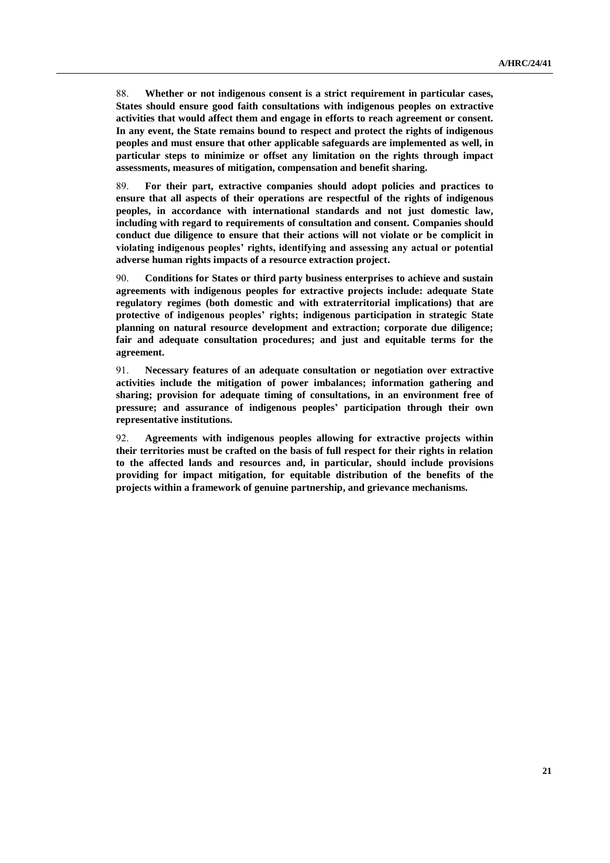88. **Whether or not indigenous consent is a strict requirement in particular cases, States should ensure good faith consultations with indigenous peoples on extractive activities that would affect them and engage in efforts to reach agreement or consent. In any event, the State remains bound to respect and protect the rights of indigenous peoples and must ensure that other applicable safeguards are implemented as well, in particular steps to minimize or offset any limitation on the rights through impact assessments, measures of mitigation, compensation and benefit sharing.**

89. **For their part, extractive companies should adopt policies and practices to ensure that all aspects of their operations are respectful of the rights of indigenous peoples, in accordance with international standards and not just domestic law, including with regard to requirements of consultation and consent. Companies should conduct due diligence to ensure that their actions will not violate or be complicit in violating indigenous peoples' rights, identifying and assessing any actual or potential adverse human rights impacts of a resource extraction project.**

90. **Conditions for States or third party business enterprises to achieve and sustain agreements with indigenous peoples for extractive projects include: adequate State regulatory regimes (both domestic and with extraterritorial implications) that are protective of indigenous peoples' rights; indigenous participation in strategic State planning on natural resource development and extraction; corporate due diligence; fair and adequate consultation procedures; and just and equitable terms for the agreement.**

91. **Necessary features of an adequate consultation or negotiation over extractive activities include the mitigation of power imbalances; information gathering and sharing; provision for adequate timing of consultations, in an environment free of pressure; and assurance of indigenous peoples' participation through their own representative institutions.** 

92. **Agreements with indigenous peoples allowing for extractive projects within their territories must be crafted on the basis of full respect for their rights in relation to the affected lands and resources and, in particular, should include provisions providing for impact mitigation, for equitable distribution of the benefits of the projects within a framework of genuine partnership, and grievance mechanisms.**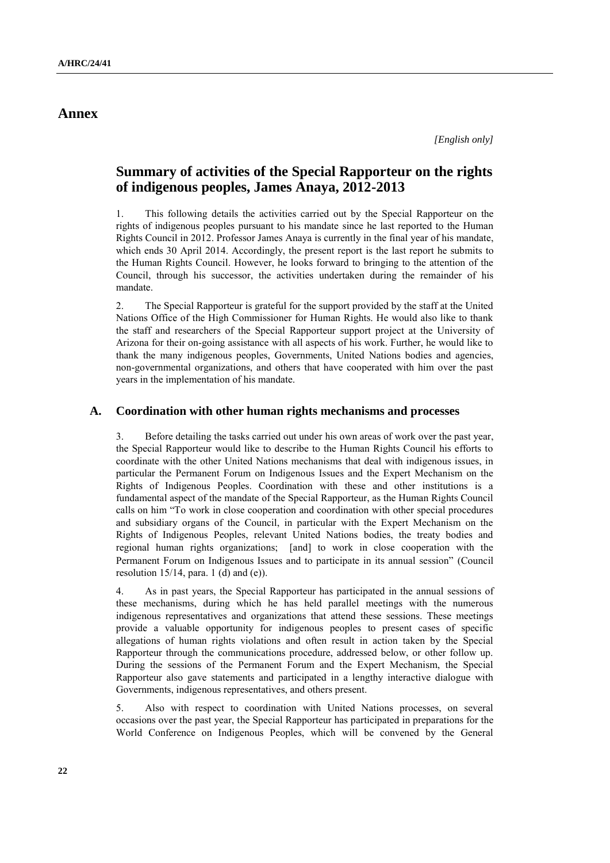## **Annex**

## **Summary of activities of the Special Rapporteur on the rights of indigenous peoples, James Anaya, 2012-2013**

1. This following details the activities carried out by the Special Rapporteur on the rights of indigenous peoples pursuant to his mandate since he last reported to the Human Rights Council in 2012. Professor James Anaya is currently in the final year of his mandate, which ends 30 April 2014. Accordingly, the present report is the last report he submits to the Human Rights Council. However, he looks forward to bringing to the attention of the Council, through his successor, the activities undertaken during the remainder of his mandate.

2. The Special Rapporteur is grateful for the support provided by the staff at the United Nations Office of the High Commissioner for Human Rights. He would also like to thank the staff and researchers of the Special Rapporteur support project at the University of Arizona for their on-going assistance with all aspects of his work. Further, he would like to thank the many indigenous peoples, Governments, United Nations bodies and agencies, non-governmental organizations, and others that have cooperated with him over the past years in the implementation of his mandate.

### **A. Coordination with other human rights mechanisms and processes**

3. Before detailing the tasks carried out under his own areas of work over the past year, the Special Rapporteur would like to describe to the Human Rights Council his efforts to coordinate with the other United Nations mechanisms that deal with indigenous issues, in particular the Permanent Forum on Indigenous Issues and the Expert Mechanism on the Rights of Indigenous Peoples. Coordination with these and other institutions is a fundamental aspect of the mandate of the Special Rapporteur, as the Human Rights Council calls on him "To work in close cooperation and coordination with other special procedures and subsidiary organs of the Council, in particular with the Expert Mechanism on the Rights of Indigenous Peoples, relevant United Nations bodies, the treaty bodies and regional human rights organizations; [and] to work in close cooperation with the Permanent Forum on Indigenous Issues and to participate in its annual session" (Council resolution  $15/14$ , para. 1 (d) and (e)).

4. As in past years, the Special Rapporteur has participated in the annual sessions of these mechanisms, during which he has held parallel meetings with the numerous indigenous representatives and organizations that attend these sessions. These meetings provide a valuable opportunity for indigenous peoples to present cases of specific allegations of human rights violations and often result in action taken by the Special Rapporteur through the communications procedure, addressed below, or other follow up. During the sessions of the Permanent Forum and the Expert Mechanism, the Special Rapporteur also gave statements and participated in a lengthy interactive dialogue with Governments, indigenous representatives, and others present.

5. Also with respect to coordination with United Nations processes, on several occasions over the past year, the Special Rapporteur has participated in preparations for the World Conference on Indigenous Peoples, which will be convened by the General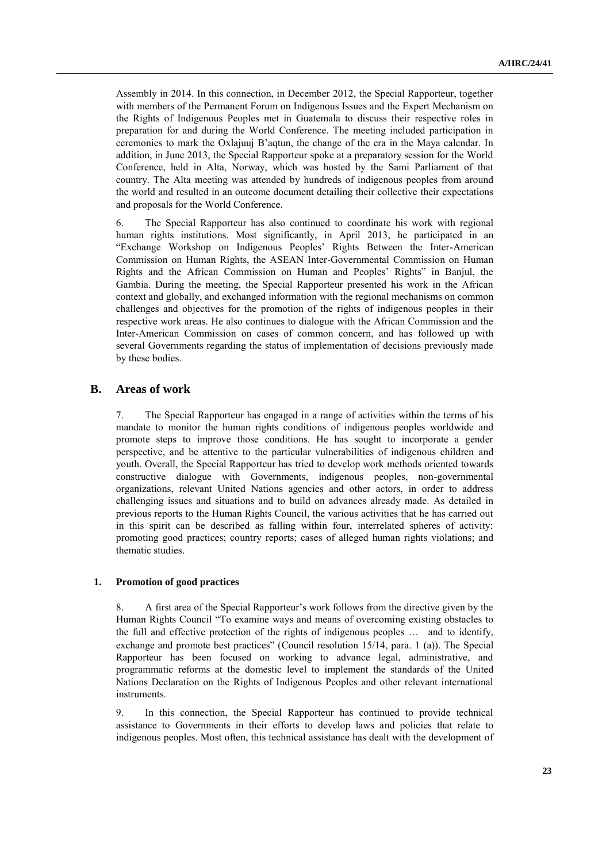Assembly in 2014. In this connection, in December 2012, the Special Rapporteur, together with members of the Permanent Forum on Indigenous Issues and the Expert Mechanism on the Rights of Indigenous Peoples met in Guatemala to discuss their respective roles in preparation for and during the World Conference. The meeting included participation in ceremonies to mark the Oxlajuuj B'aqtun, the change of the era in the Maya calendar. In addition, in June 2013, the Special Rapporteur spoke at a preparatory session for the World Conference, held in Alta, Norway, which was hosted by the Sami Parliament of that country. The Alta meeting was attended by hundreds of indigenous peoples from around the world and resulted in an outcome document detailing their collective their expectations and proposals for the World Conference.

6. The Special Rapporteur has also continued to coordinate his work with regional human rights institutions. Most significantly, in April 2013, he participated in an "Exchange Workshop on Indigenous Peoples' Rights Between the Inter-American Commission on Human Rights, the ASEAN Inter-Governmental Commission on Human Rights and the African Commission on Human and Peoples' Rights" in Banjul, the Gambia. During the meeting, the Special Rapporteur presented his work in the African context and globally, and exchanged information with the regional mechanisms on common challenges and objectives for the promotion of the rights of indigenous peoples in their respective work areas. He also continues to dialogue with the African Commission and the Inter-American Commission on cases of common concern, and has followed up with several Governments regarding the status of implementation of decisions previously made by these bodies.

### **B. Areas of work**

7. The Special Rapporteur has engaged in a range of activities within the terms of his mandate to monitor the human rights conditions of indigenous peoples worldwide and promote steps to improve those conditions. He has sought to incorporate a gender perspective, and be attentive to the particular vulnerabilities of indigenous children and youth. Overall, the Special Rapporteur has tried to develop work methods oriented towards constructive dialogue with Governments, indigenous peoples, non-governmental organizations, relevant United Nations agencies and other actors, in order to address challenging issues and situations and to build on advances already made. As detailed in previous reports to the Human Rights Council, the various activities that he has carried out in this spirit can be described as falling within four, interrelated spheres of activity: promoting good practices; country reports; cases of alleged human rights violations; and thematic studies.

#### **1. Promotion of good practices**

8. A first area of the Special Rapporteur's work follows from the directive given by the Human Rights Council "To examine ways and means of overcoming existing obstacles to the full and effective protection of the rights of indigenous peoples … and to identify, exchange and promote best practices" (Council resolution 15/14, para. 1 (a)). The Special Rapporteur has been focused on working to advance legal, administrative, and programmatic reforms at the domestic level to implement the standards of the United Nations Declaration on the Rights of Indigenous Peoples and other relevant international instruments.

9. In this connection, the Special Rapporteur has continued to provide technical assistance to Governments in their efforts to develop laws and policies that relate to indigenous peoples. Most often, this technical assistance has dealt with the development of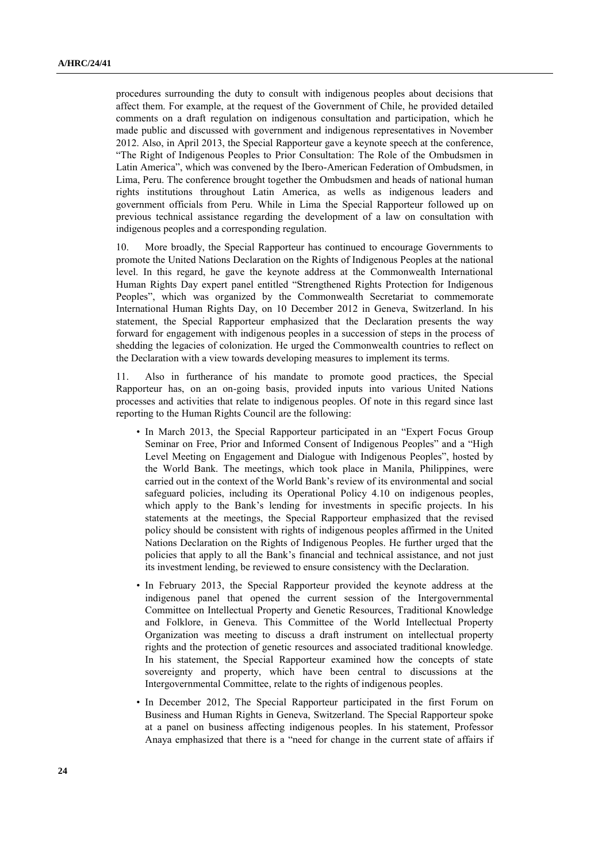procedures surrounding the duty to consult with indigenous peoples about decisions that affect them. For example, at the request of the Government of Chile, he provided detailed comments on a draft regulation on indigenous consultation and participation, which he made public and discussed with government and indigenous representatives in November 2012. Also, in April 2013, the Special Rapporteur gave a keynote speech at the conference, "The Right of Indigenous Peoples to Prior Consultation: The Role of the Ombudsmen in Latin America", which was convened by the Ibero-American Federation of Ombudsmen, in Lima, Peru. The conference brought together the Ombudsmen and heads of national human rights institutions throughout Latin America, as wells as indigenous leaders and government officials from Peru. While in Lima the Special Rapporteur followed up on previous technical assistance regarding the development of a law on consultation with indigenous peoples and a corresponding regulation.

10. More broadly, the Special Rapporteur has continued to encourage Governments to promote the United Nations Declaration on the Rights of Indigenous Peoples at the national level. In this regard, he gave the keynote address at the Commonwealth International Human Rights Day expert panel entitled "Strengthened Rights Protection for Indigenous Peoples", which was organized by the Commonwealth Secretariat to commemorate International Human Rights Day, on 10 December 2012 in Geneva, Switzerland. In his statement, the Special Rapporteur emphasized that the Declaration presents the way forward for engagement with indigenous peoples in a succession of steps in the process of shedding the legacies of colonization. He urged the Commonwealth countries to reflect on the Declaration with a view towards developing measures to implement its terms.

11. Also in furtherance of his mandate to promote good practices, the Special Rapporteur has, on an on-going basis, provided inputs into various United Nations processes and activities that relate to indigenous peoples. Of note in this regard since last reporting to the Human Rights Council are the following:

- In March 2013, the Special Rapporteur participated in an "Expert Focus Group Seminar on Free, Prior and Informed Consent of Indigenous Peoples" and a "High Level Meeting on Engagement and Dialogue with Indigenous Peoples", hosted by the World Bank. The meetings, which took place in Manila, Philippines, were carried out in the context of the World Bank's review of its environmental and social safeguard policies, including its [Operational Policy 4.10 on indigenous peoples,](http://web.worldbank.org/WBSITE/EXTERNAL/TOPICS/EXTSOCIALDEVELOPMENT/EXTINDPEOPLE/0,,contentMDK:20443667~menuPK:906528~pagePK:210058~piPK:210062~theSitePK:407802,00.html) which apply to the Bank's lending for investments in specific projects. In his statements at the meetings, the Special Rapporteur emphasized that the revised policy should be consistent with rights of indigenous peoples affirmed in the United Nations Declaration on the Rights of Indigenous Peoples. He further urged that the policies that apply to all the Bank's financial and technical assistance, and not just its investment lending, be reviewed to ensure consistency with the Declaration.
- In February 2013, the Special Rapporteur provided the keynote address at the indigenous panel that opened the current session of the [Intergovernmental](http://www.wipo.int/tk/en/igc/)  [Committee on Intellectual Property and Genetic Resources, Traditional Knowledge](http://www.wipo.int/tk/en/igc/)  [and Folklore,](http://www.wipo.int/tk/en/igc/) in Geneva. This Committee of the World Intellectual Property Organization was meeting to discuss a draft instrument on intellectual property rights and the protection of genetic resources and associated traditional knowledge. In his statement, the Special Rapporteur examined how the concepts of state sovereignty and property, which have been central to discussions at the Intergovernmental Committee, relate to the rights of indigenous peoples.
- In December 2012, The Special Rapporteur participated in the first [Forum on](http://www.ohchr.org/EN/Issues/Business/Pages/ForumonBusinessandHR2012.aspx)  [Business and Human Rights i](http://www.ohchr.org/EN/Issues/Business/Pages/ForumonBusinessandHR2012.aspx)n Geneva, Switzerland. The Special Rapporteur spoke at a panel on business affecting indigenous peoples. In his statement, Professor Anaya emphasized that there is a "need for change in the current state of affairs if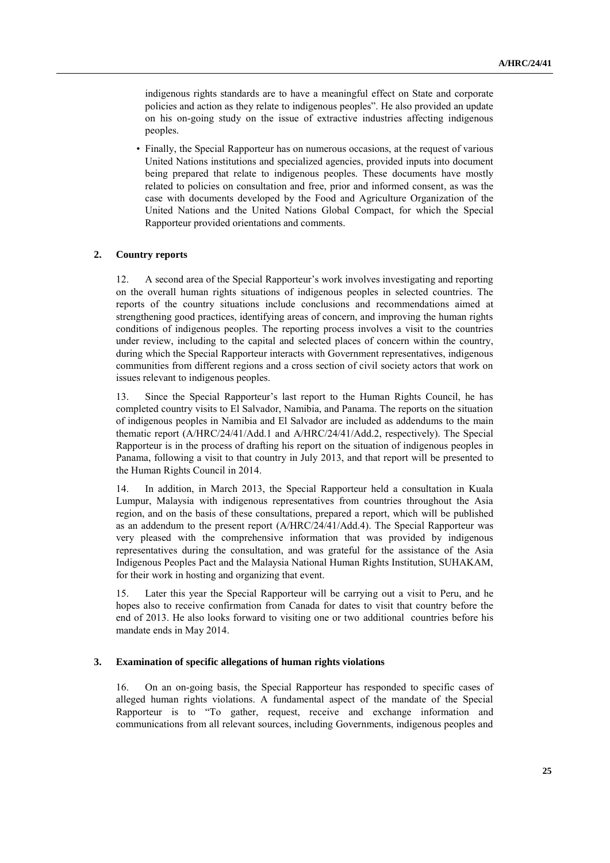indigenous rights standards are to have a meaningful effect on State and corporate policies and action as they relate to indigenous peoples". He also provided an update on his on-going study on the issue of extractive industries affecting indigenous peoples.

• Finally, the Special Rapporteur has on numerous occasions, at the request of various United Nations institutions and specialized agencies, provided inputs into document being prepared that relate to indigenous peoples. These documents have mostly related to policies on consultation and free, prior and informed consent, as was the case with documents developed by the Food and Agriculture Organization of the United Nations and the United Nations Global Compact, for which the Special Rapporteur provided orientations and comments.

#### **2. Country reports**

12. A second area of the Special Rapporteur's work involves investigating and reporting on the overall human rights situations of indigenous peoples in selected countries. The reports of the country situations include conclusions and recommendations aimed at strengthening good practices, identifying areas of concern, and improving the human rights conditions of indigenous peoples. The reporting process involves a visit to the countries under review, including to the capital and selected places of concern within the country, during which the Special Rapporteur interacts with Government representatives, indigenous communities from different regions and a cross section of civil society actors that work on issues relevant to indigenous peoples.

13. Since the Special Rapporteur's last report to the Human Rights Council, he has completed country visits to El Salvador, Namibia, and Panama. The reports on the situation of indigenous peoples in Namibia and El Salvador are included as addendums to the main thematic report (A/HRC/24/41/Add.1 and A/HRC/24/41/Add.2, respectively). The Special Rapporteur is in the process of drafting his report on the situation of indigenous peoples in Panama, following a visit to that country in July 2013, and that report will be presented to the Human Rights Council in 2014.

14. In addition, in March 2013, the Special Rapporteur held a consultation in Kuala Lumpur, Malaysia with indigenous representatives from countries throughout the Asia region, and on the basis of these consultations, prepared a report, which will be published as an addendum to the present report (A/HRC/24/41/Add.4). The Special Rapporteur was very pleased with the comprehensive information that was provided by indigenous representatives during the consultation, and was grateful for the assistance of the Asia Indigenous Peoples Pact and the Malaysia National Human Rights Institution, SUHAKAM, for their work in hosting and organizing that event.

15. Later this year the Special Rapporteur will be carrying out a visit to Peru, and he hopes also to receive confirmation from Canada for dates to visit that country before the end of 2013. He also looks forward to visiting one or two additional countries before his mandate ends in May 2014.

#### **3. Examination of specific allegations of human rights violations**

16. On an on-going basis, the Special Rapporteur has responded to specific cases of alleged human rights violations. A fundamental aspect of the mandate of the Special Rapporteur is to "To gather, request, receive and exchange information and communications from all relevant sources, including Governments, indigenous peoples and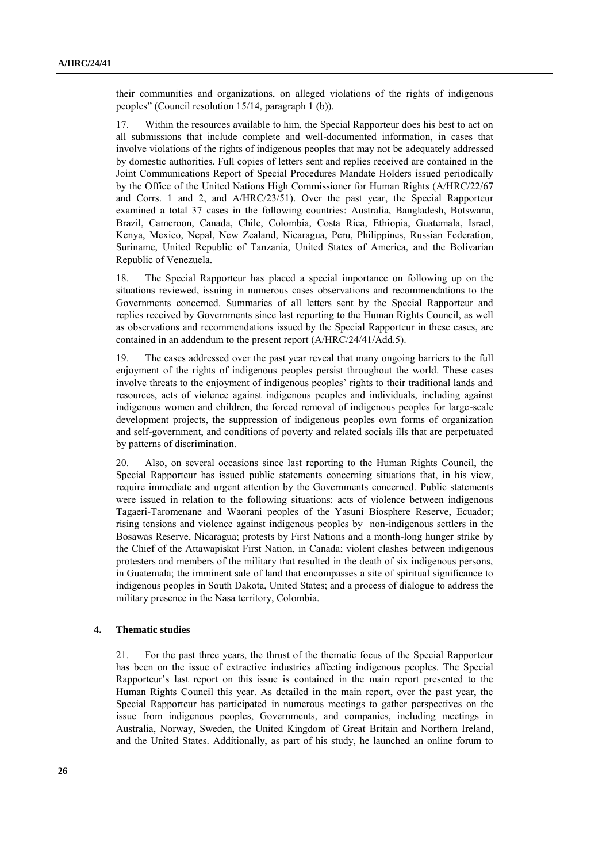their communities and organizations, on alleged violations of the rights of indigenous peoples" (Council resolution 15/14, paragraph 1 (b)).

17. Within the resources available to him, the Special Rapporteur does his best to act on all submissions that include complete and well-documented information, in cases that involve violations of the rights of indigenous peoples that may not be adequately addressed by domestic authorities. Full copies of letters sent and replies received are contained in the Joint Communications Report of Special Procedures Mandate Holders issued periodically by the Office of the United Nations High Commissioner for Human Rights (A/HRC/22/67 and Corrs. 1 and 2, and A/HRC/23/51). Over the past year, the Special Rapporteur examined a total 37 cases in the following countries: Australia, Bangladesh, Botswana, Brazil, Cameroon, Canada, Chile, Colombia, Costa Rica, Ethiopia, Guatemala, Israel, Kenya, Mexico, Nepal, New Zealand, Nicaragua, Peru, Philippines, Russian Federation, Suriname, United Republic of Tanzania, United States of America, and the Bolivarian Republic of Venezuela.

18. The Special Rapporteur has placed a special importance on following up on the situations reviewed, issuing in numerous cases observations and recommendations to the Governments concerned. Summaries of all letters sent by the Special Rapporteur and replies received by Governments since last reporting to the Human Rights Council, as well as observations and recommendations issued by the Special Rapporteur in these cases, are contained in an addendum to the present report (A/HRC/24/41/Add.5).

19. The cases addressed over the past year reveal that many ongoing barriers to the full enjoyment of the rights of indigenous peoples persist throughout the world. These cases involve threats to the enjoyment of indigenous peoples' rights to their traditional lands and resources, acts of violence against indigenous peoples and individuals, including against indigenous women and children, the forced removal of indigenous peoples for large-scale development projects, the suppression of indigenous peoples own forms of organization and self-government, and conditions of poverty and related socials ills that are perpetuated by patterns of discrimination.

20. Also, on several occasions since last reporting to the Human Rights Council, the Special Rapporteur has issued public statements concerning situations that, in his view, require immediate and urgent attention by the Governments concerned. Public statements were issued in relation to the following situations: acts of violence between indigenous Tagaeri-Taromenane and Waorani peoples of the Yasuní Biosphere Reserve, Ecuador; rising tensions and violence against indigenous peoples by non-indigenous settlers in the Bosawas Reserve, Nicaragua; protests by First Nations and a month-long hunger strike by the Chief of the Attawapiskat First Nation, in Canada; violent clashes between indigenous protesters and members of the military that resulted in the death of six indigenous persons, in Guatemala; the imminent sale of land that encompasses a site of spiritual significance to indigenous peoples in South Dakota, United States; and a process of dialogue to address the military presence in the Nasa territory, Colombia.

#### **4. Thematic studies**

21. For the past three years, the thrust of the thematic focus of the Special Rapporteur has been on the issue of extractive industries affecting indigenous peoples. The Special Rapporteur's last report on this issue is contained in the main report presented to the Human Rights Council this year. As detailed in the main report, over the past year, the Special Rapporteur has participated in numerous meetings to gather perspectives on the issue from indigenous peoples, Governments, and companies, including meetings in Australia, Norway, Sweden, the United Kingdom of Great Britain and Northern Ireland, and the United States. Additionally, as part of his study, he launched an online forum to